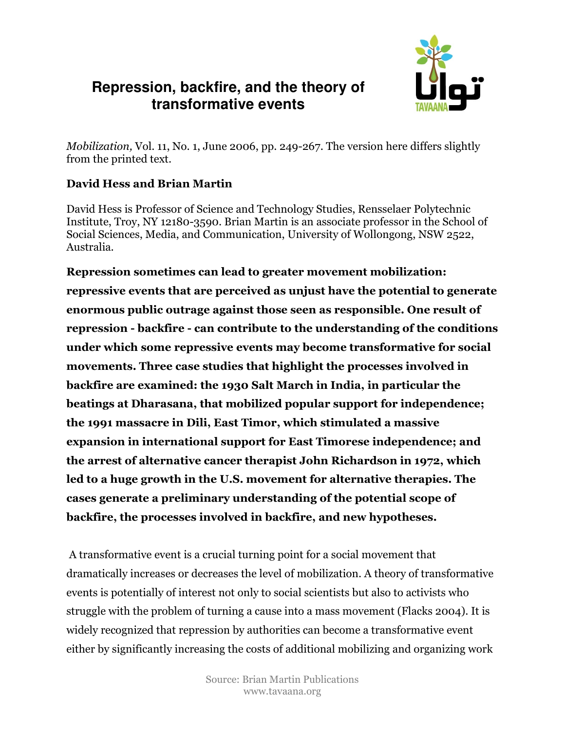# **Repression, backfire, and the theory of transformative events**



Mobilization, Vol. 11, No. 1, June 2006, pp. 249-267. The version here differs slightly from the printed text.

#### David Hess and Brian Martin

David Hess is Professor of Science and Technology Studies, Rensselaer Polytechnic Institute, Troy, NY 12180-3590. Brian Martin is an associate professor in the School of Social Sciences, Media, and Communication, University of Wollongong, NSW 2522, Australia.

Repression sometimes can lead to greater movement mobilization: repressive events that are perceived as unjust have the potential to generate enormous public outrage against those seen as responsible. One result of repression - backfire - can contribute to the understanding of the conditions under which some repressive events may become transformative for social movements. Three case studies that highlight the processes involved in backfire are examined: the 1930 Salt March in India, in particular the beatings at Dharasana, that mobilized popular support for independence; the 1991 massacre in Dili, East Timor, which stimulated a massive expansion in international support for East Timorese independence; and the arrest of alternative cancer therapist John Richardson in 1972, which led to a huge growth in the U.S. movement for alternative therapies. The cases generate a preliminary understanding of the potential scope of backfire, the processes involved in backfire, and new hypotheses.

 A transformative event is a crucial turning point for a social movement that dramatically increases or decreases the level of mobilization. A theory of transformative events is potentially of interest not only to social scientists but also to activists who struggle with the problem of turning a cause into a mass movement (Flacks 2004). It is widely recognized that repression by authorities can become a transformative event either by significantly increasing the costs of additional mobilizing and organizing work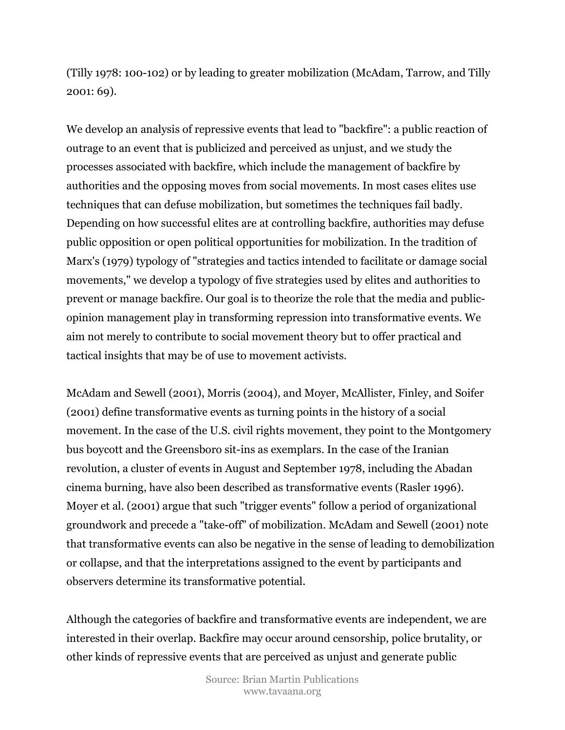(Tilly 1978: 100-102) or by leading to greater mobilization (McAdam, Tarrow, and Tilly 2001: 69).

We develop an analysis of repressive events that lead to "backfire": a public reaction of outrage to an event that is publicized and perceived as unjust, and we study the processes associated with backfire, which include the management of backfire by authorities and the opposing moves from social movements. In most cases elites use techniques that can defuse mobilization, but sometimes the techniques fail badly. Depending on how successful elites are at controlling backfire, authorities may defuse public opposition or open political opportunities for mobilization. In the tradition of Marx's (1979) typology of "strategies and tactics intended to facilitate or damage social movements," we develop a typology of five strategies used by elites and authorities to prevent or manage backfire. Our goal is to theorize the role that the media and publicopinion management play in transforming repression into transformative events. We aim not merely to contribute to social movement theory but to offer practical and tactical insights that may be of use to movement activists.

McAdam and Sewell (2001), Morris (2004), and Moyer, McAllister, Finley, and Soifer (2001) define transformative events as turning points in the history of a social movement. In the case of the U.S. civil rights movement, they point to the Montgomery bus boycott and the Greensboro sit-ins as exemplars. In the case of the Iranian revolution, a cluster of events in August and September 1978, including the Abadan cinema burning, have also been described as transformative events (Rasler 1996). Moyer et al. (2001) argue that such "trigger events" follow a period of organizational groundwork and precede a "take-off" of mobilization. McAdam and Sewell (2001) note that transformative events can also be negative in the sense of leading to demobilization or collapse, and that the interpretations assigned to the event by participants and observers determine its transformative potential.

Although the categories of backfire and transformative events are independent, we are interested in their overlap. Backfire may occur around censorship, police brutality, or other kinds of repressive events that are perceived as unjust and generate public

> Source: Brian Martin Publications www.tavaana.org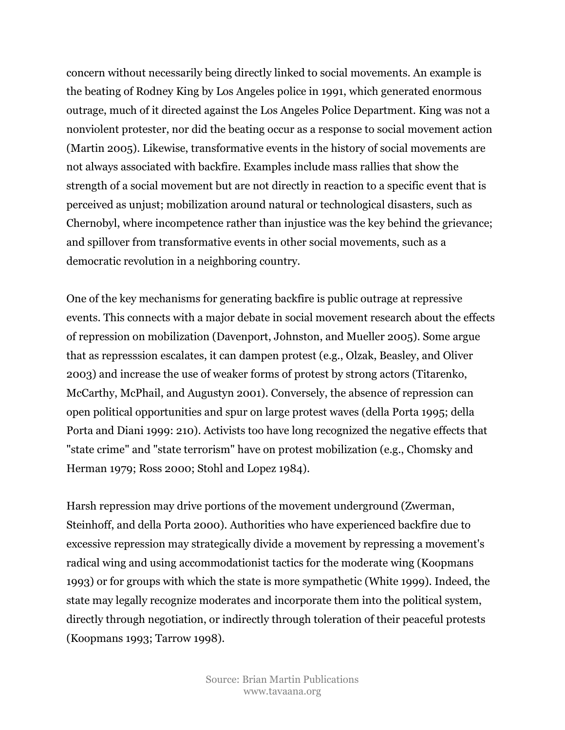concern without necessarily being directly linked to social movements. An example is the beating of Rodney King by Los Angeles police in 1991, which generated enormous outrage, much of it directed against the Los Angeles Police Department. King was not a nonviolent protester, nor did the beating occur as a response to social movement action (Martin 2005). Likewise, transformative events in the history of social movements are not always associated with backfire. Examples include mass rallies that show the strength of a social movement but are not directly in reaction to a specific event that is perceived as unjust; mobilization around natural or technological disasters, such as Chernobyl, where incompetence rather than injustice was the key behind the grievance; and spillover from transformative events in other social movements, such as a democratic revolution in a neighboring country.

One of the key mechanisms for generating backfire is public outrage at repressive events. This connects with a major debate in social movement research about the effects of repression on mobilization (Davenport, Johnston, and Mueller 2005). Some argue that as represssion escalates, it can dampen protest (e.g., Olzak, Beasley, and Oliver 2003) and increase the use of weaker forms of protest by strong actors (Titarenko, McCarthy, McPhail, and Augustyn 2001). Conversely, the absence of repression can open political opportunities and spur on large protest waves (della Porta 1995; della Porta and Diani 1999: 210). Activists too have long recognized the negative effects that "state crime" and "state terrorism" have on protest mobilization (e.g., Chomsky and Herman 1979; Ross 2000; Stohl and Lopez 1984).

Harsh repression may drive portions of the movement underground (Zwerman, Steinhoff, and della Porta 2000). Authorities who have experienced backfire due to excessive repression may strategically divide a movement by repressing a movement's radical wing and using accommodationist tactics for the moderate wing (Koopmans 1993) or for groups with which the state is more sympathetic (White 1999). Indeed, the state may legally recognize moderates and incorporate them into the political system, directly through negotiation, or indirectly through toleration of their peaceful protests (Koopmans 1993; Tarrow 1998).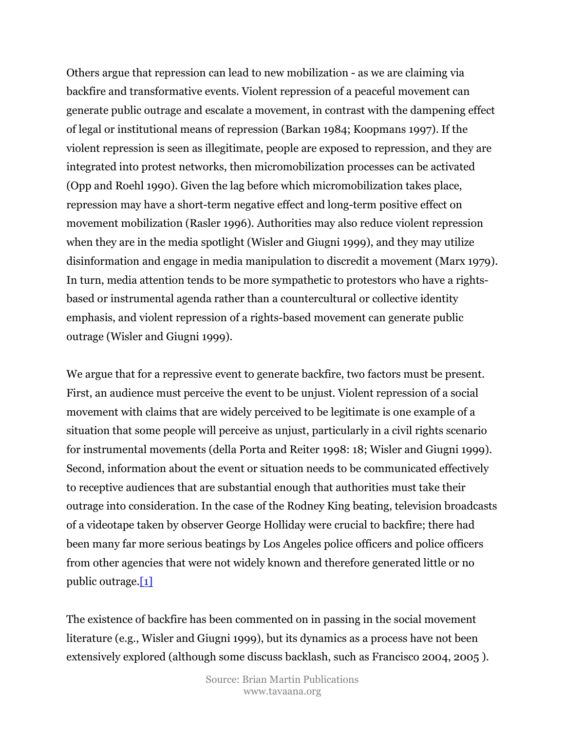Others argue that repression can lead to new mobilization - as we are claiming via backfire and transformative events. Violent repression of a peaceful movement can generate public outrage and escalate a movement, in contrast with the dampening effect of legal or institutional means of repression (Barkan 1984; Koopmans 1997). If the violent repression is seen as illegitimate, people are exposed to repression, and they are integrated into protest networks, then micromobilization processes can be activated (Opp and Roehl 1990). Given the lag before which micromobilization takes place, repression may have a short-term negative effect and long-term positive effect on movement mobilization (Rasler 1996). Authorities may also reduce violent repression when they are in the media spotlight (Wisler and Giugni 1999), and they may utilize disinformation and engage in media manipulation to discredit a movement (Marx 1979). In turn, media attention tends to be more sympathetic to protestors who have a rightsbased or instrumental agenda rather than a countercultural or collective identity emphasis, and violent repression of a rights-based movement can generate public outrage (Wisler and Giugni 1999).

We argue that for a repressive event to generate backfire, two factors must be present. First, an audience must perceive the event to be unjust. Violent repression of a social movement with claims that are widely perceived to be legitimate is one example of a situation that some people will perceive as unjust, particularly in a civil rights scenario for instrumental movements (della Porta and Reiter 1998: 18; Wisler and Giugni 1999). Second, information about the event or situation needs to be communicated effectively to receptive audiences that are substantial enough that authorities must take their outrage into consideration. In the case of the Rodney King beating, television broadcasts of a videotape taken by observer George Holliday were crucial to backfire; there had been many far more serious beatings by Los Angeles police officers and police officers from other agencies that were not widely known and therefore generated little or no public outrage.[1]

The existence of backfire has been commented on in passing in the social movement literature (e.g., Wisler and Giugni 1999), but its dynamics as a process have not been extensively explored (although some discuss backlash, such as Francisco 2004, 2005 ).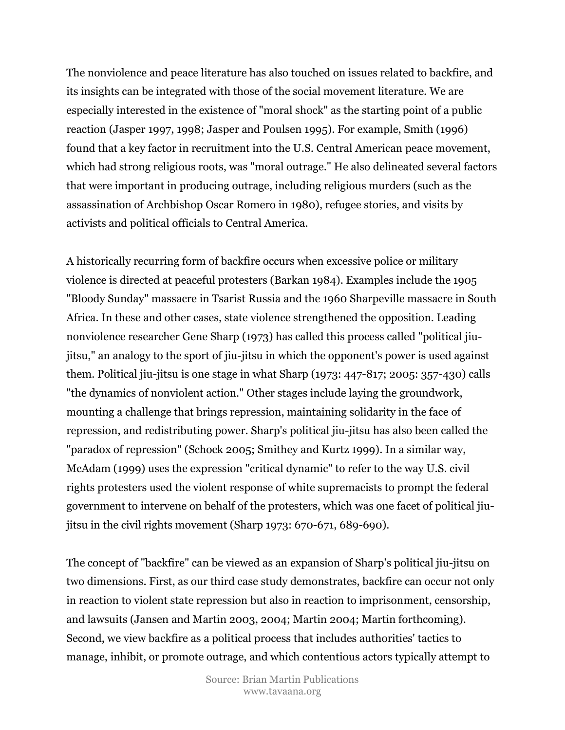The nonviolence and peace literature has also touched on issues related to backfire, and its insights can be integrated with those of the social movement literature. We are especially interested in the existence of "moral shock" as the starting point of a public reaction (Jasper 1997, 1998; Jasper and Poulsen 1995). For example, Smith (1996) found that a key factor in recruitment into the U.S. Central American peace movement, which had strong religious roots, was "moral outrage." He also delineated several factors that were important in producing outrage, including religious murders (such as the assassination of Archbishop Oscar Romero in 1980), refugee stories, and visits by activists and political officials to Central America.

A historically recurring form of backfire occurs when excessive police or military violence is directed at peaceful protesters (Barkan 1984). Examples include the 1905 "Bloody Sunday" massacre in Tsarist Russia and the 1960 Sharpeville massacre in South Africa. In these and other cases, state violence strengthened the opposition. Leading nonviolence researcher Gene Sharp (1973) has called this process called "political jiujitsu," an analogy to the sport of jiu-jitsu in which the opponent's power is used against them. Political jiu-jitsu is one stage in what Sharp (1973: 447-817; 2005: 357-430) calls "the dynamics of nonviolent action." Other stages include laying the groundwork, mounting a challenge that brings repression, maintaining solidarity in the face of repression, and redistributing power. Sharp's political jiu-jitsu has also been called the "paradox of repression" (Schock 2005; Smithey and Kurtz 1999). In a similar way, McAdam (1999) uses the expression "critical dynamic" to refer to the way U.S. civil rights protesters used the violent response of white supremacists to prompt the federal government to intervene on behalf of the protesters, which was one facet of political jiujitsu in the civil rights movement (Sharp 1973: 670-671, 689-690).

The concept of "backfire" can be viewed as an expansion of Sharp's political jiu-jitsu on two dimensions. First, as our third case study demonstrates, backfire can occur not only in reaction to violent state repression but also in reaction to imprisonment, censorship, and lawsuits (Jansen and Martin 2003, 2004; Martin 2004; Martin forthcoming). Second, we view backfire as a political process that includes authorities' tactics to manage, inhibit, or promote outrage, and which contentious actors typically attempt to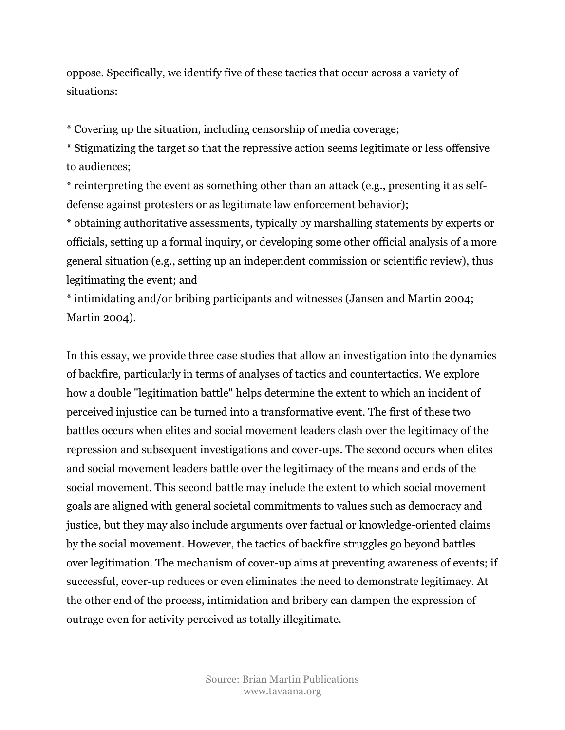oppose. Specifically, we identify five of these tactics that occur across a variety of situations:

\* Covering up the situation, including censorship of media coverage;

\* Stigmatizing the target so that the repressive action seems legitimate or less offensive to audiences;

\* reinterpreting the event as something other than an attack (e.g., presenting it as selfdefense against protesters or as legitimate law enforcement behavior);

\* obtaining authoritative assessments, typically by marshalling statements by experts or officials, setting up a formal inquiry, or developing some other official analysis of a more general situation (e.g., setting up an independent commission or scientific review), thus legitimating the event; and

\* intimidating and/or bribing participants and witnesses (Jansen and Martin 2004; Martin 2004).

In this essay, we provide three case studies that allow an investigation into the dynamics of backfire, particularly in terms of analyses of tactics and countertactics. We explore how a double "legitimation battle" helps determine the extent to which an incident of perceived injustice can be turned into a transformative event. The first of these two battles occurs when elites and social movement leaders clash over the legitimacy of the repression and subsequent investigations and cover-ups. The second occurs when elites and social movement leaders battle over the legitimacy of the means and ends of the social movement. This second battle may include the extent to which social movement goals are aligned with general societal commitments to values such as democracy and justice, but they may also include arguments over factual or knowledge-oriented claims by the social movement. However, the tactics of backfire struggles go beyond battles over legitimation. The mechanism of cover-up aims at preventing awareness of events; if successful, cover-up reduces or even eliminates the need to demonstrate legitimacy. At the other end of the process, intimidation and bribery can dampen the expression of outrage even for activity perceived as totally illegitimate.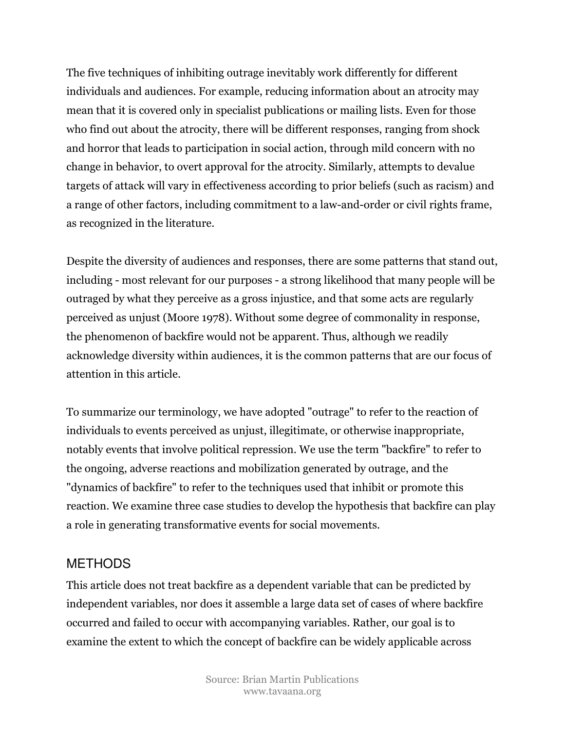The five techniques of inhibiting outrage inevitably work differently for different individuals and audiences. For example, reducing information about an atrocity may mean that it is covered only in specialist publications or mailing lists. Even for those who find out about the atrocity, there will be different responses, ranging from shock and horror that leads to participation in social action, through mild concern with no change in behavior, to overt approval for the atrocity. Similarly, attempts to devalue targets of attack will vary in effectiveness according to prior beliefs (such as racism) and a range of other factors, including commitment to a law-and-order or civil rights frame, as recognized in the literature.

Despite the diversity of audiences and responses, there are some patterns that stand out, including - most relevant for our purposes - a strong likelihood that many people will be outraged by what they perceive as a gross injustice, and that some acts are regularly perceived as unjust (Moore 1978). Without some degree of commonality in response, the phenomenon of backfire would not be apparent. Thus, although we readily acknowledge diversity within audiences, it is the common patterns that are our focus of attention in this article.

To summarize our terminology, we have adopted "outrage" to refer to the reaction of individuals to events perceived as unjust, illegitimate, or otherwise inappropriate, notably events that involve political repression. We use the term "backfire" to refer to the ongoing, adverse reactions and mobilization generated by outrage, and the "dynamics of backfire" to refer to the techniques used that inhibit or promote this reaction. We examine three case studies to develop the hypothesis that backfire can play a role in generating transformative events for social movements.

### **METHODS**

This article does not treat backfire as a dependent variable that can be predicted by independent variables, nor does it assemble a large data set of cases of where backfire occurred and failed to occur with accompanying variables. Rather, our goal is to examine the extent to which the concept of backfire can be widely applicable across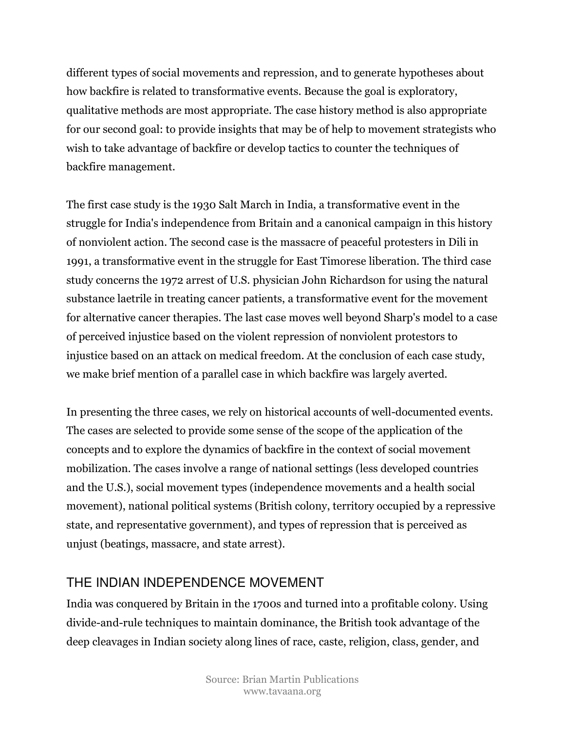different types of social movements and repression, and to generate hypotheses about how backfire is related to transformative events. Because the goal is exploratory, qualitative methods are most appropriate. The case history method is also appropriate for our second goal: to provide insights that may be of help to movement strategists who wish to take advantage of backfire or develop tactics to counter the techniques of backfire management.

The first case study is the 1930 Salt March in India, a transformative event in the struggle for India's independence from Britain and a canonical campaign in this history of nonviolent action. The second case is the massacre of peaceful protesters in Dili in 1991, a transformative event in the struggle for East Timorese liberation. The third case study concerns the 1972 arrest of U.S. physician John Richardson for using the natural substance laetrile in treating cancer patients, a transformative event for the movement for alternative cancer therapies. The last case moves well beyond Sharp's model to a case of perceived injustice based on the violent repression of nonviolent protestors to injustice based on an attack on medical freedom. At the conclusion of each case study, we make brief mention of a parallel case in which backfire was largely averted.

In presenting the three cases, we rely on historical accounts of well-documented events. The cases are selected to provide some sense of the scope of the application of the concepts and to explore the dynamics of backfire in the context of social movement mobilization. The cases involve a range of national settings (less developed countries and the U.S.), social movement types (independence movements and a health social movement), national political systems (British colony, territory occupied by a repressive state, and representative government), and types of repression that is perceived as unjust (beatings, massacre, and state arrest).

## THE INDIAN INDEPENDENCE MOVEMENT

India was conquered by Britain in the 1700s and turned into a profitable colony. Using divide-and-rule techniques to maintain dominance, the British took advantage of the deep cleavages in Indian society along lines of race, caste, religion, class, gender, and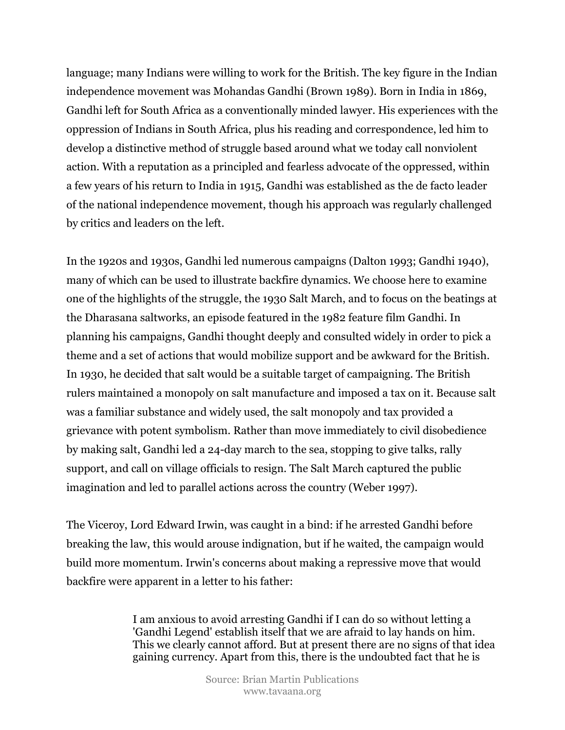language; many Indians were willing to work for the British. The key figure in the Indian independence movement was Mohandas Gandhi (Brown 1989). Born in India in 1869, Gandhi left for South Africa as a conventionally minded lawyer. His experiences with the oppression of Indians in South Africa, plus his reading and correspondence, led him to develop a distinctive method of struggle based around what we today call nonviolent action. With a reputation as a principled and fearless advocate of the oppressed, within a few years of his return to India in 1915, Gandhi was established as the de facto leader of the national independence movement, though his approach was regularly challenged by critics and leaders on the left.

In the 1920s and 1930s, Gandhi led numerous campaigns (Dalton 1993; Gandhi 1940), many of which can be used to illustrate backfire dynamics. We choose here to examine one of the highlights of the struggle, the 1930 Salt March, and to focus on the beatings at the Dharasana saltworks, an episode featured in the 1982 feature film Gandhi. In planning his campaigns, Gandhi thought deeply and consulted widely in order to pick a theme and a set of actions that would mobilize support and be awkward for the British. In 1930, he decided that salt would be a suitable target of campaigning. The British rulers maintained a monopoly on salt manufacture and imposed a tax on it. Because salt was a familiar substance and widely used, the salt monopoly and tax provided a grievance with potent symbolism. Rather than move immediately to civil disobedience by making salt, Gandhi led a 24-day march to the sea, stopping to give talks, rally support, and call on village officials to resign. The Salt March captured the public imagination and led to parallel actions across the country (Weber 1997).

The Viceroy, Lord Edward Irwin, was caught in a bind: if he arrested Gandhi before breaking the law, this would arouse indignation, but if he waited, the campaign would build more momentum. Irwin's concerns about making a repressive move that would backfire were apparent in a letter to his father:

> I am anxious to avoid arresting Gandhi if I can do so without letting a 'Gandhi Legend' establish itself that we are afraid to lay hands on him. This we clearly cannot afford. But at present there are no signs of that idea gaining currency. Apart from this, there is the undoubted fact that he is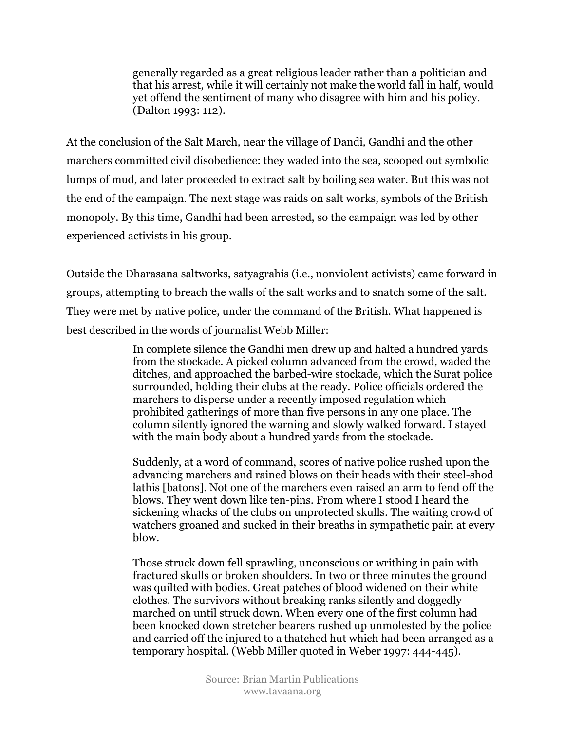generally regarded as a great religious leader rather than a politician and that his arrest, while it will certainly not make the world fall in half, would yet offend the sentiment of many who disagree with him and his policy. (Dalton 1993: 112).

At the conclusion of the Salt March, near the village of Dandi, Gandhi and the other marchers committed civil disobedience: they waded into the sea, scooped out symbolic lumps of mud, and later proceeded to extract salt by boiling sea water. But this was not the end of the campaign. The next stage was raids on salt works, symbols of the British monopoly. By this time, Gandhi had been arrested, so the campaign was led by other experienced activists in his group.

Outside the Dharasana saltworks, satyagrahis (i.e., nonviolent activists) came forward in groups, attempting to breach the walls of the salt works and to snatch some of the salt. They were met by native police, under the command of the British. What happened is best described in the words of journalist Webb Miller:

> In complete silence the Gandhi men drew up and halted a hundred yards from the stockade. A picked column advanced from the crowd, waded the ditches, and approached the barbed-wire stockade, which the Surat police surrounded, holding their clubs at the ready. Police officials ordered the marchers to disperse under a recently imposed regulation which prohibited gatherings of more than five persons in any one place. The column silently ignored the warning and slowly walked forward. I stayed with the main body about a hundred yards from the stockade.

> Suddenly, at a word of command, scores of native police rushed upon the advancing marchers and rained blows on their heads with their steel-shod lathis [batons]. Not one of the marchers even raised an arm to fend off the blows. They went down like ten-pins. From where I stood I heard the sickening whacks of the clubs on unprotected skulls. The waiting crowd of watchers groaned and sucked in their breaths in sympathetic pain at every blow.

> Those struck down fell sprawling, unconscious or writhing in pain with fractured skulls or broken shoulders. In two or three minutes the ground was quilted with bodies. Great patches of blood widened on their white clothes. The survivors without breaking ranks silently and doggedly marched on until struck down. When every one of the first column had been knocked down stretcher bearers rushed up unmolested by the police and carried off the injured to a thatched hut which had been arranged as a temporary hospital. (Webb Miller quoted in Weber 1997: 444-445).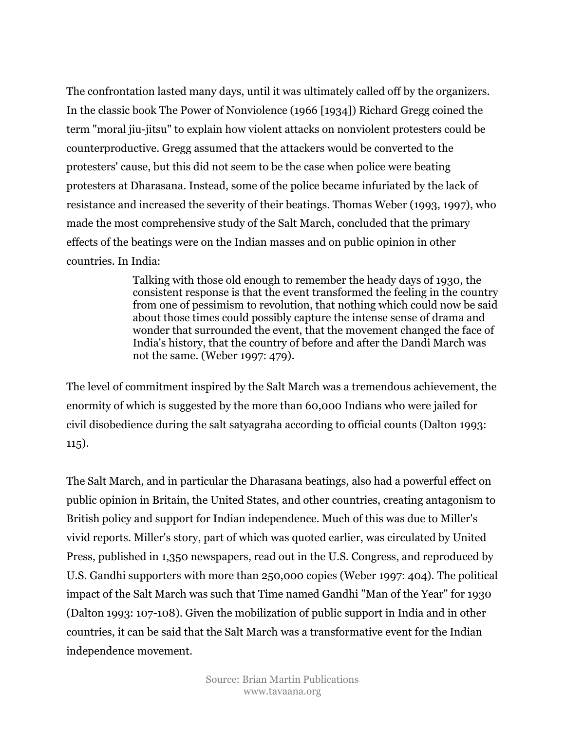The confrontation lasted many days, until it was ultimately called off by the organizers. In the classic book The Power of Nonviolence (1966 [1934]) Richard Gregg coined the term "moral jiu-jitsu" to explain how violent attacks on nonviolent protesters could be counterproductive. Gregg assumed that the attackers would be converted to the protesters' cause, but this did not seem to be the case when police were beating protesters at Dharasana. Instead, some of the police became infuriated by the lack of resistance and increased the severity of their beatings. Thomas Weber (1993, 1997), who made the most comprehensive study of the Salt March, concluded that the primary effects of the beatings were on the Indian masses and on public opinion in other countries. In India:

> Talking with those old enough to remember the heady days of 1930, the consistent response is that the event transformed the feeling in the country from one of pessimism to revolution, that nothing which could now be said about those times could possibly capture the intense sense of drama and wonder that surrounded the event, that the movement changed the face of India's history, that the country of before and after the Dandi March was not the same. (Weber 1997: 479).

The level of commitment inspired by the Salt March was a tremendous achievement, the enormity of which is suggested by the more than 60,000 Indians who were jailed for civil disobedience during the salt satyagraha according to official counts (Dalton 1993: 115).

The Salt March, and in particular the Dharasana beatings, also had a powerful effect on public opinion in Britain, the United States, and other countries, creating antagonism to British policy and support for Indian independence. Much of this was due to Miller's vivid reports. Miller's story, part of which was quoted earlier, was circulated by United Press, published in 1,350 newspapers, read out in the U.S. Congress, and reproduced by U.S. Gandhi supporters with more than 250,000 copies (Weber 1997: 404). The political impact of the Salt March was such that Time named Gandhi "Man of the Year" for 1930 (Dalton 1993: 107-108). Given the mobilization of public support in India and in other countries, it can be said that the Salt March was a transformative event for the Indian independence movement.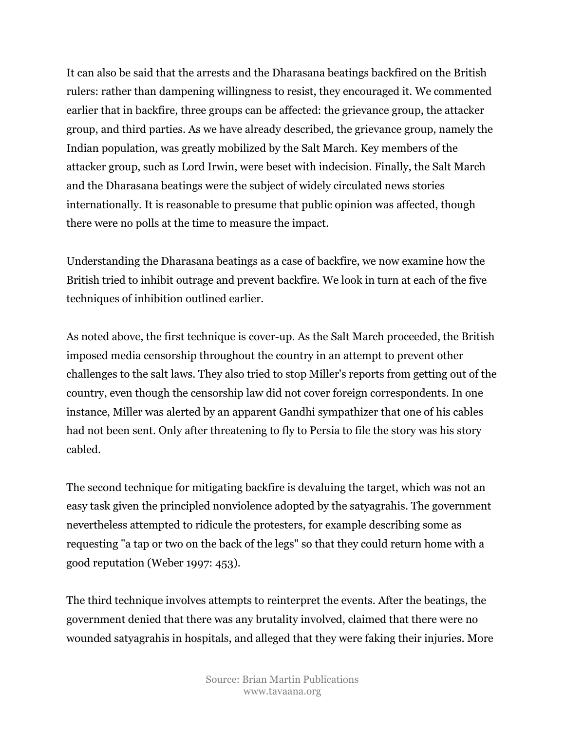It can also be said that the arrests and the Dharasana beatings backfired on the British rulers: rather than dampening willingness to resist, they encouraged it. We commented earlier that in backfire, three groups can be affected: the grievance group, the attacker group, and third parties. As we have already described, the grievance group, namely the Indian population, was greatly mobilized by the Salt March. Key members of the attacker group, such as Lord Irwin, were beset with indecision. Finally, the Salt March and the Dharasana beatings were the subject of widely circulated news stories internationally. It is reasonable to presume that public opinion was affected, though there were no polls at the time to measure the impact.

Understanding the Dharasana beatings as a case of backfire, we now examine how the British tried to inhibit outrage and prevent backfire. We look in turn at each of the five techniques of inhibition outlined earlier.

As noted above, the first technique is cover-up. As the Salt March proceeded, the British imposed media censorship throughout the country in an attempt to prevent other challenges to the salt laws. They also tried to stop Miller's reports from getting out of the country, even though the censorship law did not cover foreign correspondents. In one instance, Miller was alerted by an apparent Gandhi sympathizer that one of his cables had not been sent. Only after threatening to fly to Persia to file the story was his story cabled.

The second technique for mitigating backfire is devaluing the target, which was not an easy task given the principled nonviolence adopted by the satyagrahis. The government nevertheless attempted to ridicule the protesters, for example describing some as requesting "a tap or two on the back of the legs" so that they could return home with a good reputation (Weber 1997: 453).

The third technique involves attempts to reinterpret the events. After the beatings, the government denied that there was any brutality involved, claimed that there were no wounded satyagrahis in hospitals, and alleged that they were faking their injuries. More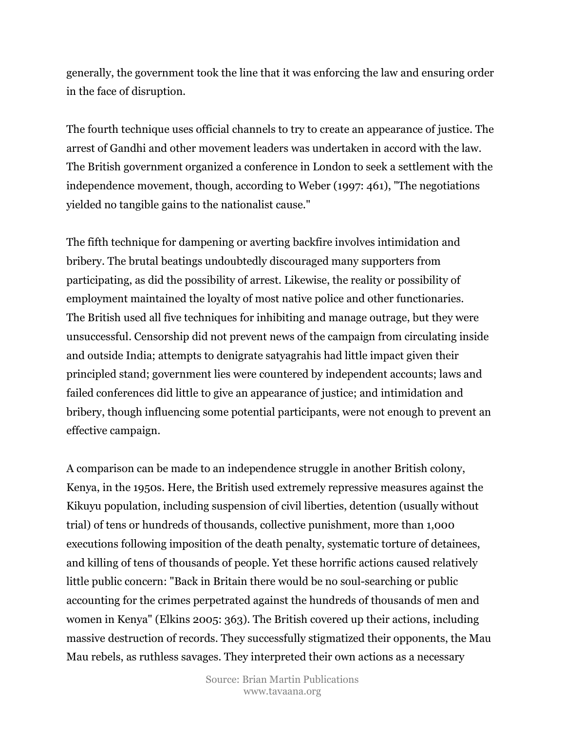generally, the government took the line that it was enforcing the law and ensuring order in the face of disruption.

The fourth technique uses official channels to try to create an appearance of justice. The arrest of Gandhi and other movement leaders was undertaken in accord with the law. The British government organized a conference in London to seek a settlement with the independence movement, though, according to Weber (1997: 461), "The negotiations yielded no tangible gains to the nationalist cause."

The fifth technique for dampening or averting backfire involves intimidation and bribery. The brutal beatings undoubtedly discouraged many supporters from participating, as did the possibility of arrest. Likewise, the reality or possibility of employment maintained the loyalty of most native police and other functionaries. The British used all five techniques for inhibiting and manage outrage, but they were unsuccessful. Censorship did not prevent news of the campaign from circulating inside and outside India; attempts to denigrate satyagrahis had little impact given their principled stand; government lies were countered by independent accounts; laws and failed conferences did little to give an appearance of justice; and intimidation and bribery, though influencing some potential participants, were not enough to prevent an effective campaign.

A comparison can be made to an independence struggle in another British colony, Kenya, in the 1950s. Here, the British used extremely repressive measures against the Kikuyu population, including suspension of civil liberties, detention (usually without trial) of tens or hundreds of thousands, collective punishment, more than 1,000 executions following imposition of the death penalty, systematic torture of detainees, and killing of tens of thousands of people. Yet these horrific actions caused relatively little public concern: "Back in Britain there would be no soul-searching or public accounting for the crimes perpetrated against the hundreds of thousands of men and women in Kenya" (Elkins 2005: 363). The British covered up their actions, including massive destruction of records. They successfully stigmatized their opponents, the Mau Mau rebels, as ruthless savages. They interpreted their own actions as a necessary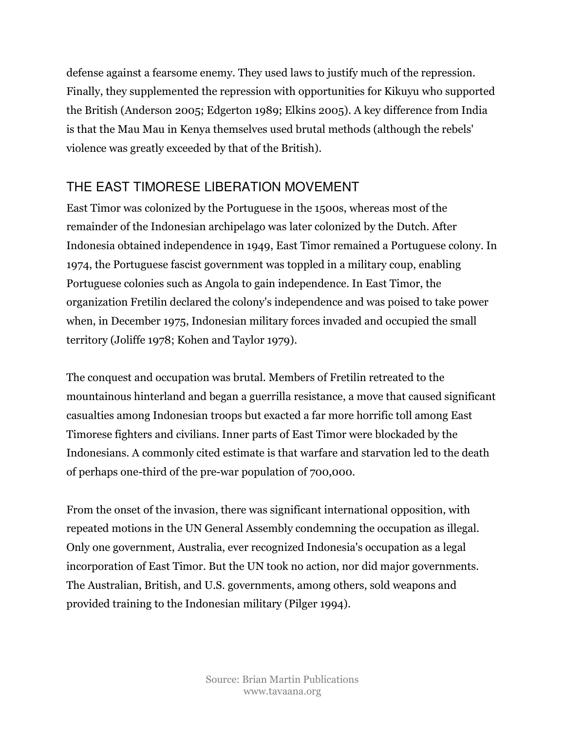defense against a fearsome enemy. They used laws to justify much of the repression. Finally, they supplemented the repression with opportunities for Kikuyu who supported the British (Anderson 2005; Edgerton 1989; Elkins 2005). A key difference from India is that the Mau Mau in Kenya themselves used brutal methods (although the rebels' violence was greatly exceeded by that of the British).

# THE EAST TIMORESE LIBERATION MOVEMENT

East Timor was colonized by the Portuguese in the 1500s, whereas most of the remainder of the Indonesian archipelago was later colonized by the Dutch. After Indonesia obtained independence in 1949, East Timor remained a Portuguese colony. In 1974, the Portuguese fascist government was toppled in a military coup, enabling Portuguese colonies such as Angola to gain independence. In East Timor, the organization Fretilin declared the colony's independence and was poised to take power when, in December 1975, Indonesian military forces invaded and occupied the small territory (Joliffe 1978; Kohen and Taylor 1979).

The conquest and occupation was brutal. Members of Fretilin retreated to the mountainous hinterland and began a guerrilla resistance, a move that caused significant casualties among Indonesian troops but exacted a far more horrific toll among East Timorese fighters and civilians. Inner parts of East Timor were blockaded by the Indonesians. A commonly cited estimate is that warfare and starvation led to the death of perhaps one-third of the pre-war population of 700,000.

From the onset of the invasion, there was significant international opposition, with repeated motions in the UN General Assembly condemning the occupation as illegal. Only one government, Australia, ever recognized Indonesia's occupation as a legal incorporation of East Timor. But the UN took no action, nor did major governments. The Australian, British, and U.S. governments, among others, sold weapons and provided training to the Indonesian military (Pilger 1994).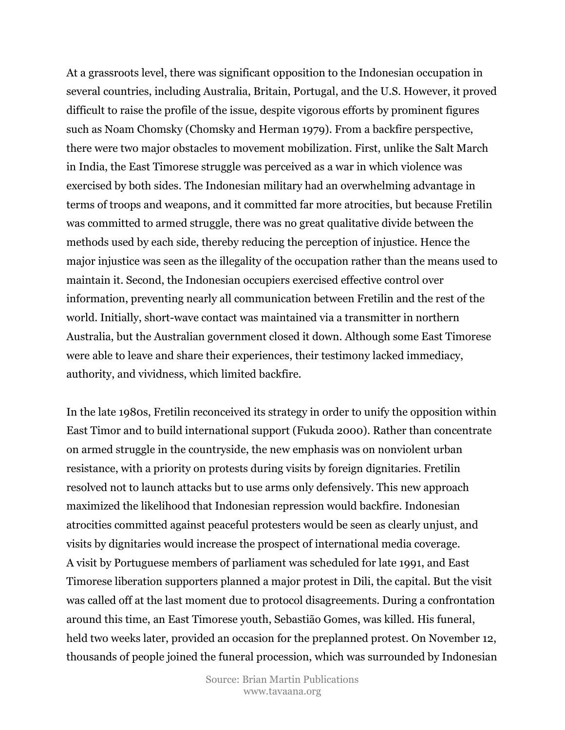At a grassroots level, there was significant opposition to the Indonesian occupation in several countries, including Australia, Britain, Portugal, and the U.S. However, it proved difficult to raise the profile of the issue, despite vigorous efforts by prominent figures such as Noam Chomsky (Chomsky and Herman 1979). From a backfire perspective, there were two major obstacles to movement mobilization. First, unlike the Salt March in India, the East Timorese struggle was perceived as a war in which violence was exercised by both sides. The Indonesian military had an overwhelming advantage in terms of troops and weapons, and it committed far more atrocities, but because Fretilin was committed to armed struggle, there was no great qualitative divide between the methods used by each side, thereby reducing the perception of injustice. Hence the major injustice was seen as the illegality of the occupation rather than the means used to maintain it. Second, the Indonesian occupiers exercised effective control over information, preventing nearly all communication between Fretilin and the rest of the world. Initially, short-wave contact was maintained via a transmitter in northern Australia, but the Australian government closed it down. Although some East Timorese were able to leave and share their experiences, their testimony lacked immediacy, authority, and vividness, which limited backfire.

In the late 1980s, Fretilin reconceived its strategy in order to unify the opposition within East Timor and to build international support (Fukuda 2000). Rather than concentrate on armed struggle in the countryside, the new emphasis was on nonviolent urban resistance, with a priority on protests during visits by foreign dignitaries. Fretilin resolved not to launch attacks but to use arms only defensively. This new approach maximized the likelihood that Indonesian repression would backfire. Indonesian atrocities committed against peaceful protesters would be seen as clearly unjust, and visits by dignitaries would increase the prospect of international media coverage. A visit by Portuguese members of parliament was scheduled for late 1991, and East Timorese liberation supporters planned a major protest in Dili, the capital. But the visit was called off at the last moment due to protocol disagreements. During a confrontation around this time, an East Timorese youth, Sebastião Gomes, was killed. His funeral, held two weeks later, provided an occasion for the preplanned protest. On November 12, thousands of people joined the funeral procession, which was surrounded by Indonesian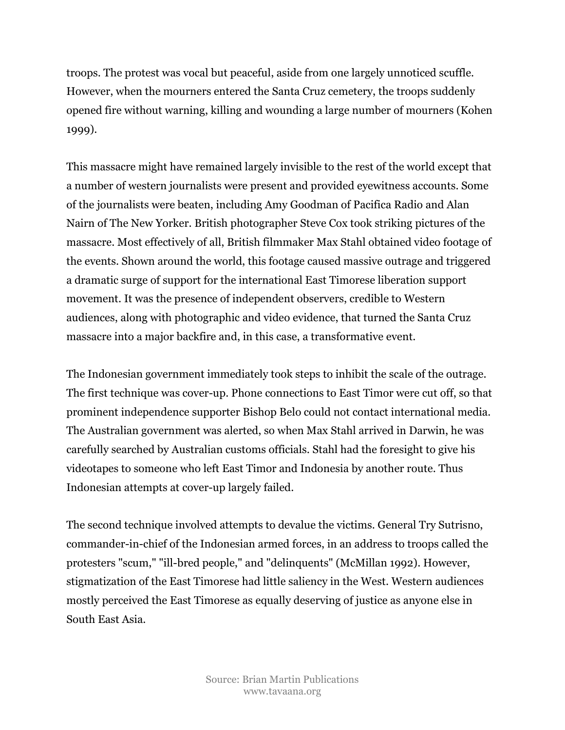troops. The protest was vocal but peaceful, aside from one largely unnoticed scuffle. However, when the mourners entered the Santa Cruz cemetery, the troops suddenly opened fire without warning, killing and wounding a large number of mourners (Kohen 1999).

This massacre might have remained largely invisible to the rest of the world except that a number of western journalists were present and provided eyewitness accounts. Some of the journalists were beaten, including Amy Goodman of Pacifica Radio and Alan Nairn of The New Yorker. British photographer Steve Cox took striking pictures of the massacre. Most effectively of all, British filmmaker Max Stahl obtained video footage of the events. Shown around the world, this footage caused massive outrage and triggered a dramatic surge of support for the international East Timorese liberation support movement. It was the presence of independent observers, credible to Western audiences, along with photographic and video evidence, that turned the Santa Cruz massacre into a major backfire and, in this case, a transformative event.

The Indonesian government immediately took steps to inhibit the scale of the outrage. The first technique was cover-up. Phone connections to East Timor were cut off, so that prominent independence supporter Bishop Belo could not contact international media. The Australian government was alerted, so when Max Stahl arrived in Darwin, he was carefully searched by Australian customs officials. Stahl had the foresight to give his videotapes to someone who left East Timor and Indonesia by another route. Thus Indonesian attempts at cover-up largely failed.

The second technique involved attempts to devalue the victims. General Try Sutrisno, commander-in-chief of the Indonesian armed forces, in an address to troops called the protesters "scum," "ill-bred people," and "delinquents" (McMillan 1992). However, stigmatization of the East Timorese had little saliency in the West. Western audiences mostly perceived the East Timorese as equally deserving of justice as anyone else in South East Asia.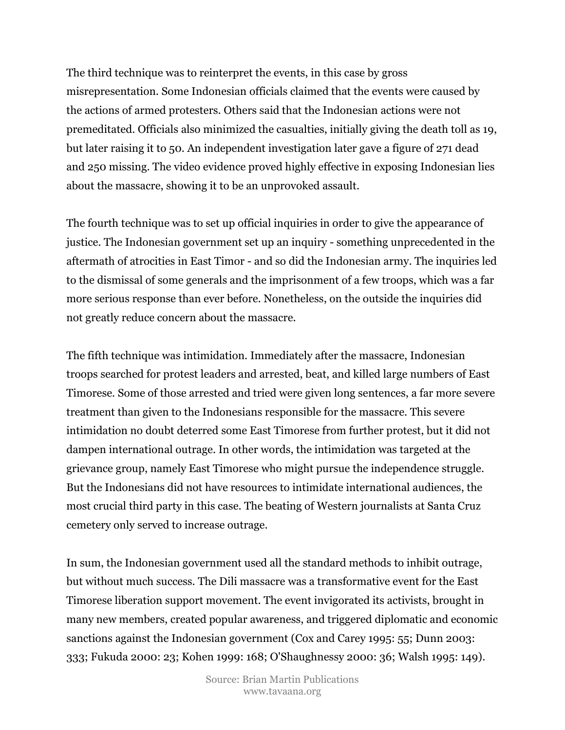The third technique was to reinterpret the events, in this case by gross misrepresentation. Some Indonesian officials claimed that the events were caused by the actions of armed protesters. Others said that the Indonesian actions were not premeditated. Officials also minimized the casualties, initially giving the death toll as 19, but later raising it to 50. An independent investigation later gave a figure of 271 dead and 250 missing. The video evidence proved highly effective in exposing Indonesian lies about the massacre, showing it to be an unprovoked assault.

The fourth technique was to set up official inquiries in order to give the appearance of justice. The Indonesian government set up an inquiry - something unprecedented in the aftermath of atrocities in East Timor - and so did the Indonesian army. The inquiries led to the dismissal of some generals and the imprisonment of a few troops, which was a far more serious response than ever before. Nonetheless, on the outside the inquiries did not greatly reduce concern about the massacre.

The fifth technique was intimidation. Immediately after the massacre, Indonesian troops searched for protest leaders and arrested, beat, and killed large numbers of East Timorese. Some of those arrested and tried were given long sentences, a far more severe treatment than given to the Indonesians responsible for the massacre. This severe intimidation no doubt deterred some East Timorese from further protest, but it did not dampen international outrage. In other words, the intimidation was targeted at the grievance group, namely East Timorese who might pursue the independence struggle. But the Indonesians did not have resources to intimidate international audiences, the most crucial third party in this case. The beating of Western journalists at Santa Cruz cemetery only served to increase outrage.

In sum, the Indonesian government used all the standard methods to inhibit outrage, but without much success. The Dili massacre was a transformative event for the East Timorese liberation support movement. The event invigorated its activists, brought in many new members, created popular awareness, and triggered diplomatic and economic sanctions against the Indonesian government (Cox and Carey 1995: 55; Dunn 2003: 333; Fukuda 2000: 23; Kohen 1999: 168; O'Shaughnessy 2000: 36; Walsh 1995: 149).

> Source: Brian Martin Publications www.tavaana.org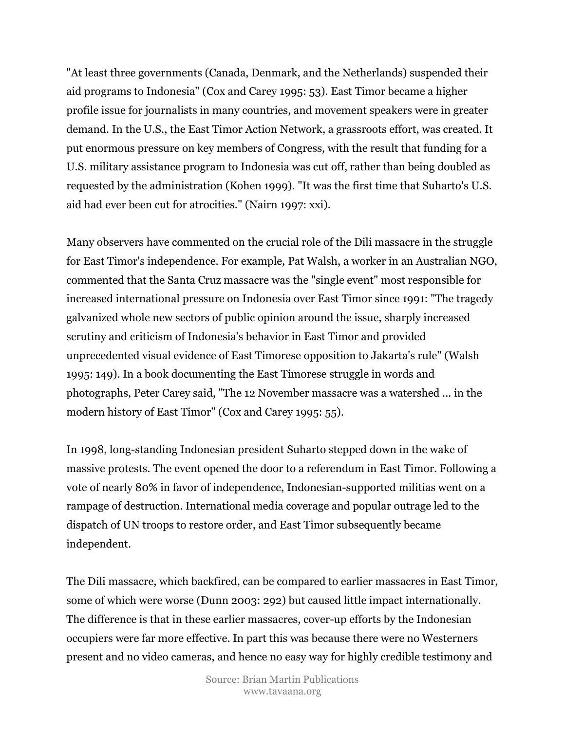"At least three governments (Canada, Denmark, and the Netherlands) suspended their aid programs to Indonesia" (Cox and Carey 1995: 53). East Timor became a higher profile issue for journalists in many countries, and movement speakers were in greater demand. In the U.S., the East Timor Action Network, a grassroots effort, was created. It put enormous pressure on key members of Congress, with the result that funding for a U.S. military assistance program to Indonesia was cut off, rather than being doubled as requested by the administration (Kohen 1999). "It was the first time that Suharto's U.S. aid had ever been cut for atrocities." (Nairn 1997: xxi).

Many observers have commented on the crucial role of the Dili massacre in the struggle for East Timor's independence. For example, Pat Walsh, a worker in an Australian NGO, commented that the Santa Cruz massacre was the "single event" most responsible for increased international pressure on Indonesia over East Timor since 1991: "The tragedy galvanized whole new sectors of public opinion around the issue, sharply increased scrutiny and criticism of Indonesia's behavior in East Timor and provided unprecedented visual evidence of East Timorese opposition to Jakarta's rule" (Walsh 1995: 149). In a book documenting the East Timorese struggle in words and photographs, Peter Carey said, "The 12 November massacre was a watershed ... in the modern history of East Timor" (Cox and Carey 1995: 55).

In 1998, long-standing Indonesian president Suharto stepped down in the wake of massive protests. The event opened the door to a referendum in East Timor. Following a vote of nearly 80% in favor of independence, Indonesian-supported militias went on a rampage of destruction. International media coverage and popular outrage led to the dispatch of UN troops to restore order, and East Timor subsequently became independent.

The Dili massacre, which backfired, can be compared to earlier massacres in East Timor, some of which were worse (Dunn 2003: 292) but caused little impact internationally. The difference is that in these earlier massacres, cover-up efforts by the Indonesian occupiers were far more effective. In part this was because there were no Westerners present and no video cameras, and hence no easy way for highly credible testimony and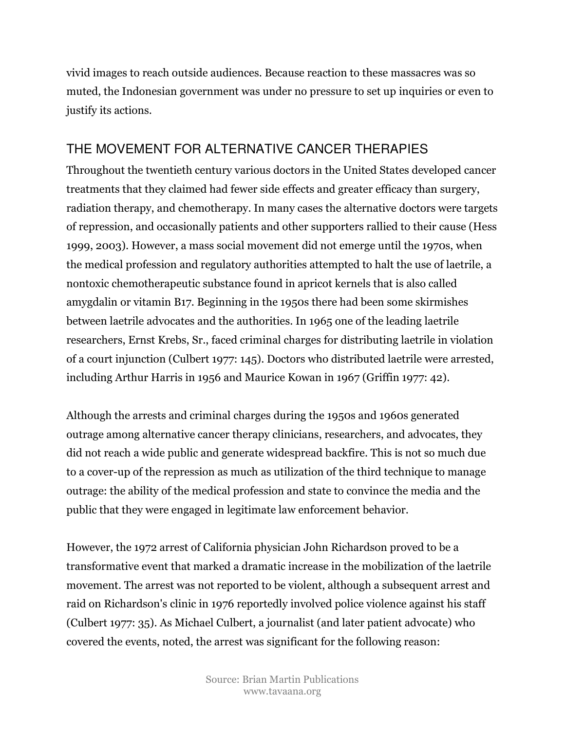vivid images to reach outside audiences. Because reaction to these massacres was so muted, the Indonesian government was under no pressure to set up inquiries or even to justify its actions.

### THE MOVEMENT FOR ALTERNATIVE CANCER THERAPIES

Throughout the twentieth century various doctors in the United States developed cancer treatments that they claimed had fewer side effects and greater efficacy than surgery, radiation therapy, and chemotherapy. In many cases the alternative doctors were targets of repression, and occasionally patients and other supporters rallied to their cause (Hess 1999, 2003). However, a mass social movement did not emerge until the 1970s, when the medical profession and regulatory authorities attempted to halt the use of laetrile, a nontoxic chemotherapeutic substance found in apricot kernels that is also called amygdalin or vitamin B17. Beginning in the 1950s there had been some skirmishes between laetrile advocates and the authorities. In 1965 one of the leading laetrile researchers, Ernst Krebs, Sr., faced criminal charges for distributing laetrile in violation of a court injunction (Culbert 1977: 145). Doctors who distributed laetrile were arrested, including Arthur Harris in 1956 and Maurice Kowan in 1967 (Griffin 1977: 42).

Although the arrests and criminal charges during the 1950s and 1960s generated outrage among alternative cancer therapy clinicians, researchers, and advocates, they did not reach a wide public and generate widespread backfire. This is not so much due to a cover-up of the repression as much as utilization of the third technique to manage outrage: the ability of the medical profession and state to convince the media and the public that they were engaged in legitimate law enforcement behavior.

However, the 1972 arrest of California physician John Richardson proved to be a transformative event that marked a dramatic increase in the mobilization of the laetrile movement. The arrest was not reported to be violent, although a subsequent arrest and raid on Richardson's clinic in 1976 reportedly involved police violence against his staff (Culbert 1977: 35). As Michael Culbert, a journalist (and later patient advocate) who covered the events, noted, the arrest was significant for the following reason: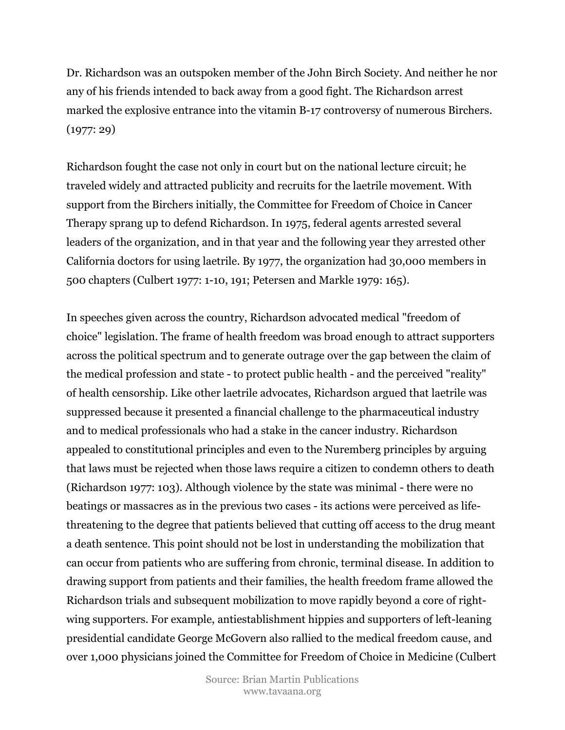Dr. Richardson was an outspoken member of the John Birch Society. And neither he nor any of his friends intended to back away from a good fight. The Richardson arrest marked the explosive entrance into the vitamin B-17 controversy of numerous Birchers. (1977: 29)

Richardson fought the case not only in court but on the national lecture circuit; he traveled widely and attracted publicity and recruits for the laetrile movement. With support from the Birchers initially, the Committee for Freedom of Choice in Cancer Therapy sprang up to defend Richardson. In 1975, federal agents arrested several leaders of the organization, and in that year and the following year they arrested other California doctors for using laetrile. By 1977, the organization had 30,000 members in 500 chapters (Culbert 1977: 1-10, 191; Petersen and Markle 1979: 165).

In speeches given across the country, Richardson advocated medical "freedom of choice" legislation. The frame of health freedom was broad enough to attract supporters across the political spectrum and to generate outrage over the gap between the claim of the medical profession and state - to protect public health - and the perceived "reality" of health censorship. Like other laetrile advocates, Richardson argued that laetrile was suppressed because it presented a financial challenge to the pharmaceutical industry and to medical professionals who had a stake in the cancer industry. Richardson appealed to constitutional principles and even to the Nuremberg principles by arguing that laws must be rejected when those laws require a citizen to condemn others to death (Richardson 1977: 103). Although violence by the state was minimal - there were no beatings or massacres as in the previous two cases - its actions were perceived as lifethreatening to the degree that patients believed that cutting off access to the drug meant a death sentence. This point should not be lost in understanding the mobilization that can occur from patients who are suffering from chronic, terminal disease. In addition to drawing support from patients and their families, the health freedom frame allowed the Richardson trials and subsequent mobilization to move rapidly beyond a core of rightwing supporters. For example, antiestablishment hippies and supporters of left-leaning presidential candidate George McGovern also rallied to the medical freedom cause, and over 1,000 physicians joined the Committee for Freedom of Choice in Medicine (Culbert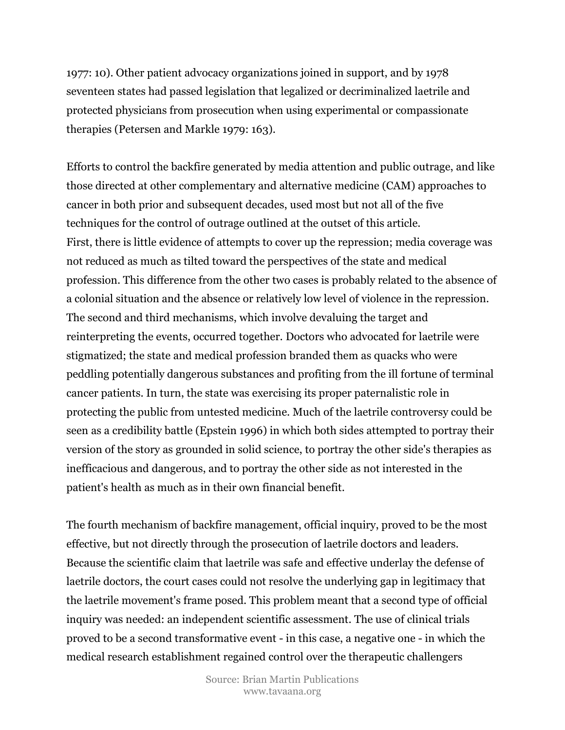1977: 10). Other patient advocacy organizations joined in support, and by 1978 seventeen states had passed legislation that legalized or decriminalized laetrile and protected physicians from prosecution when using experimental or compassionate therapies (Petersen and Markle 1979: 163).

Efforts to control the backfire generated by media attention and public outrage, and like those directed at other complementary and alternative medicine (CAM) approaches to cancer in both prior and subsequent decades, used most but not all of the five techniques for the control of outrage outlined at the outset of this article. First, there is little evidence of attempts to cover up the repression; media coverage was not reduced as much as tilted toward the perspectives of the state and medical profession. This difference from the other two cases is probably related to the absence of a colonial situation and the absence or relatively low level of violence in the repression. The second and third mechanisms, which involve devaluing the target and reinterpreting the events, occurred together. Doctors who advocated for laetrile were stigmatized; the state and medical profession branded them as quacks who were peddling potentially dangerous substances and profiting from the ill fortune of terminal cancer patients. In turn, the state was exercising its proper paternalistic role in protecting the public from untested medicine. Much of the laetrile controversy could be seen as a credibility battle (Epstein 1996) in which both sides attempted to portray their version of the story as grounded in solid science, to portray the other side's therapies as inefficacious and dangerous, and to portray the other side as not interested in the patient's health as much as in their own financial benefit.

The fourth mechanism of backfire management, official inquiry, proved to be the most effective, but not directly through the prosecution of laetrile doctors and leaders. Because the scientific claim that laetrile was safe and effective underlay the defense of laetrile doctors, the court cases could not resolve the underlying gap in legitimacy that the laetrile movement's frame posed. This problem meant that a second type of official inquiry was needed: an independent scientific assessment. The use of clinical trials proved to be a second transformative event - in this case, a negative one - in which the medical research establishment regained control over the therapeutic challengers

> Source: Brian Martin Publications www.tavaana.org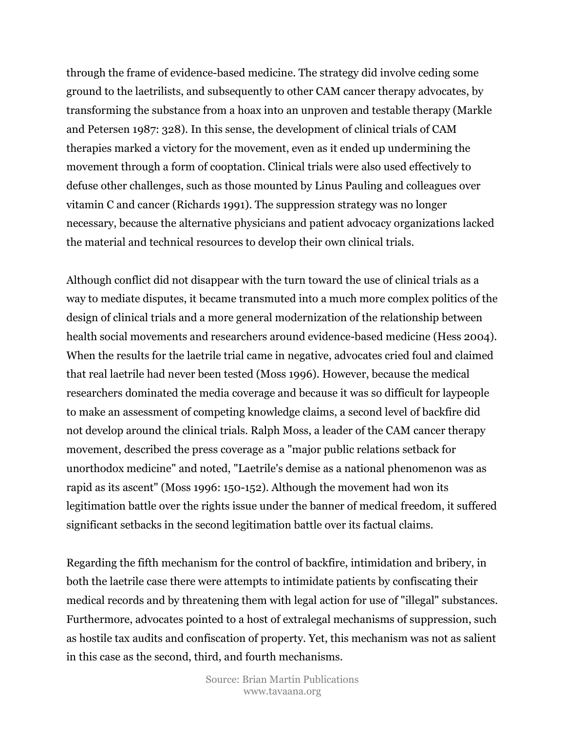through the frame of evidence-based medicine. The strategy did involve ceding some ground to the laetrilists, and subsequently to other CAM cancer therapy advocates, by transforming the substance from a hoax into an unproven and testable therapy (Markle and Petersen 1987: 328). In this sense, the development of clinical trials of CAM therapies marked a victory for the movement, even as it ended up undermining the movement through a form of cooptation. Clinical trials were also used effectively to defuse other challenges, such as those mounted by Linus Pauling and colleagues over vitamin C and cancer (Richards 1991). The suppression strategy was no longer necessary, because the alternative physicians and patient advocacy organizations lacked the material and technical resources to develop their own clinical trials.

Although conflict did not disappear with the turn toward the use of clinical trials as a way to mediate disputes, it became transmuted into a much more complex politics of the design of clinical trials and a more general modernization of the relationship between health social movements and researchers around evidence-based medicine (Hess 2004). When the results for the laetrile trial came in negative, advocates cried foul and claimed that real laetrile had never been tested (Moss 1996). However, because the medical researchers dominated the media coverage and because it was so difficult for laypeople to make an assessment of competing knowledge claims, a second level of backfire did not develop around the clinical trials. Ralph Moss, a leader of the CAM cancer therapy movement, described the press coverage as a "major public relations setback for unorthodox medicine" and noted, "Laetrile's demise as a national phenomenon was as rapid as its ascent" (Moss 1996: 150-152). Although the movement had won its legitimation battle over the rights issue under the banner of medical freedom, it suffered significant setbacks in the second legitimation battle over its factual claims.

Regarding the fifth mechanism for the control of backfire, intimidation and bribery, in both the laetrile case there were attempts to intimidate patients by confiscating their medical records and by threatening them with legal action for use of "illegal" substances. Furthermore, advocates pointed to a host of extralegal mechanisms of suppression, such as hostile tax audits and confiscation of property. Yet, this mechanism was not as salient in this case as the second, third, and fourth mechanisms.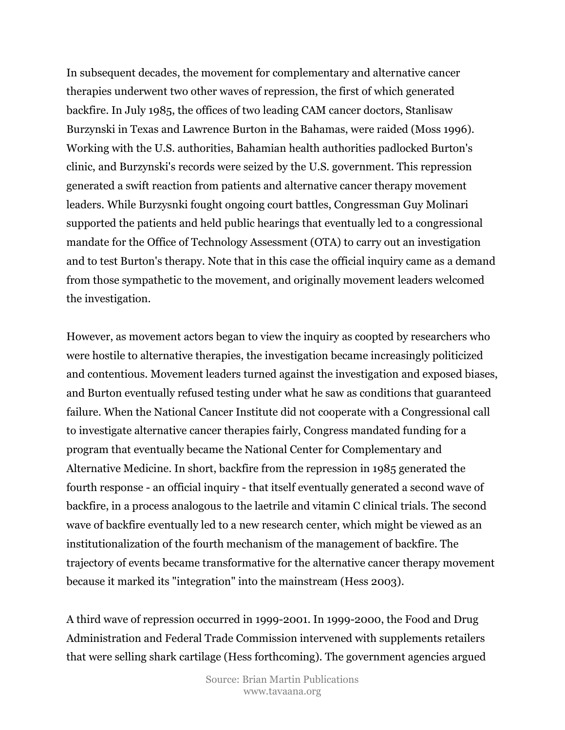In subsequent decades, the movement for complementary and alternative cancer therapies underwent two other waves of repression, the first of which generated backfire. In July 1985, the offices of two leading CAM cancer doctors, Stanlisaw Burzynski in Texas and Lawrence Burton in the Bahamas, were raided (Moss 1996). Working with the U.S. authorities, Bahamian health authorities padlocked Burton's clinic, and Burzynski's records were seized by the U.S. government. This repression generated a swift reaction from patients and alternative cancer therapy movement leaders. While Burzysnki fought ongoing court battles, Congressman Guy Molinari supported the patients and held public hearings that eventually led to a congressional mandate for the Office of Technology Assessment (OTA) to carry out an investigation and to test Burton's therapy. Note that in this case the official inquiry came as a demand from those sympathetic to the movement, and originally movement leaders welcomed the investigation.

However, as movement actors began to view the inquiry as coopted by researchers who were hostile to alternative therapies, the investigation became increasingly politicized and contentious. Movement leaders turned against the investigation and exposed biases, and Burton eventually refused testing under what he saw as conditions that guaranteed failure. When the National Cancer Institute did not cooperate with a Congressional call to investigate alternative cancer therapies fairly, Congress mandated funding for a program that eventually became the National Center for Complementary and Alternative Medicine. In short, backfire from the repression in 1985 generated the fourth response - an official inquiry - that itself eventually generated a second wave of backfire, in a process analogous to the laetrile and vitamin C clinical trials. The second wave of backfire eventually led to a new research center, which might be viewed as an institutionalization of the fourth mechanism of the management of backfire. The trajectory of events became transformative for the alternative cancer therapy movement because it marked its "integration" into the mainstream (Hess 2003).

A third wave of repression occurred in 1999-2001. In 1999-2000, the Food and Drug Administration and Federal Trade Commission intervened with supplements retailers that were selling shark cartilage (Hess forthcoming). The government agencies argued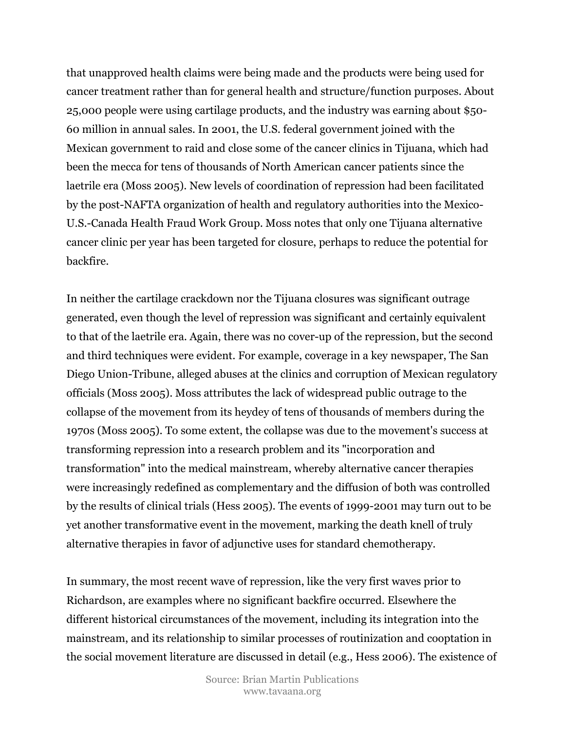that unapproved health claims were being made and the products were being used for cancer treatment rather than for general health and structure/function purposes. About 25,000 people were using cartilage products, and the industry was earning about \$50- 60 million in annual sales. In 2001, the U.S. federal government joined with the Mexican government to raid and close some of the cancer clinics in Tijuana, which had been the mecca for tens of thousands of North American cancer patients since the laetrile era (Moss 2005). New levels of coordination of repression had been facilitated by the post-NAFTA organization of health and regulatory authorities into the Mexico-U.S.-Canada Health Fraud Work Group. Moss notes that only one Tijuana alternative cancer clinic per year has been targeted for closure, perhaps to reduce the potential for backfire.

In neither the cartilage crackdown nor the Tijuana closures was significant outrage generated, even though the level of repression was significant and certainly equivalent to that of the laetrile era. Again, there was no cover-up of the repression, but the second and third techniques were evident. For example, coverage in a key newspaper, The San Diego Union-Tribune, alleged abuses at the clinics and corruption of Mexican regulatory officials (Moss 2005). Moss attributes the lack of widespread public outrage to the collapse of the movement from its heydey of tens of thousands of members during the 1970s (Moss 2005). To some extent, the collapse was due to the movement's success at transforming repression into a research problem and its "incorporation and transformation" into the medical mainstream, whereby alternative cancer therapies were increasingly redefined as complementary and the diffusion of both was controlled by the results of clinical trials (Hess 2005). The events of 1999-2001 may turn out to be yet another transformative event in the movement, marking the death knell of truly alternative therapies in favor of adjunctive uses for standard chemotherapy.

In summary, the most recent wave of repression, like the very first waves prior to Richardson, are examples where no significant backfire occurred. Elsewhere the different historical circumstances of the movement, including its integration into the mainstream, and its relationship to similar processes of routinization and cooptation in the social movement literature are discussed in detail (e.g., Hess 2006). The existence of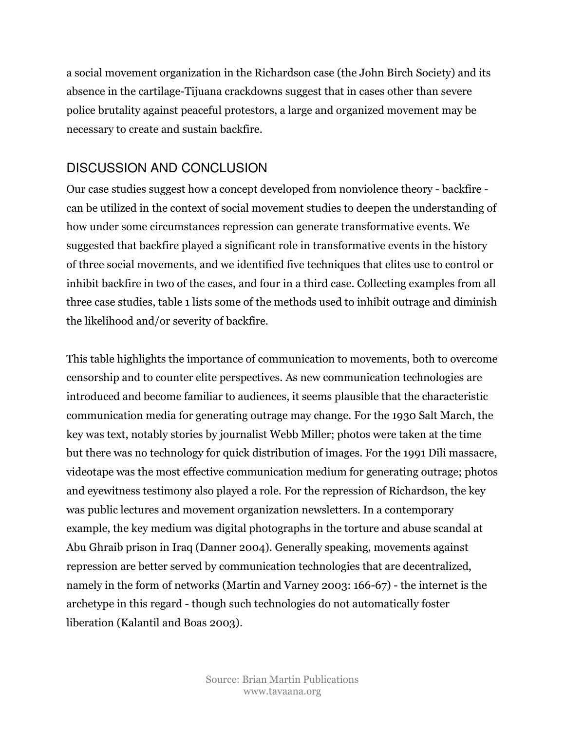a social movement organization in the Richardson case (the John Birch Society) and its absence in the cartilage-Tijuana crackdowns suggest that in cases other than severe police brutality against peaceful protestors, a large and organized movement may be necessary to create and sustain backfire.

## DISCUSSION AND CONCLUSION

Our case studies suggest how a concept developed from nonviolence theory - backfire can be utilized in the context of social movement studies to deepen the understanding of how under some circumstances repression can generate transformative events. We suggested that backfire played a significant role in transformative events in the history of three social movements, and we identified five techniques that elites use to control or inhibit backfire in two of the cases, and four in a third case. Collecting examples from all three case studies, table 1 lists some of the methods used to inhibit outrage and diminish the likelihood and/or severity of backfire.

This table highlights the importance of communication to movements, both to overcome censorship and to counter elite perspectives. As new communication technologies are introduced and become familiar to audiences, it seems plausible that the characteristic communication media for generating outrage may change. For the 1930 Salt March, the key was text, notably stories by journalist Webb Miller; photos were taken at the time but there was no technology for quick distribution of images. For the 1991 Dili massacre, videotape was the most effective communication medium for generating outrage; photos and eyewitness testimony also played a role. For the repression of Richardson, the key was public lectures and movement organization newsletters. In a contemporary example, the key medium was digital photographs in the torture and abuse scandal at Abu Ghraib prison in Iraq (Danner 2004). Generally speaking, movements against repression are better served by communication technologies that are decentralized, namely in the form of networks (Martin and Varney 2003: 166-67) - the internet is the archetype in this regard - though such technologies do not automatically foster liberation (Kalantil and Boas 2003).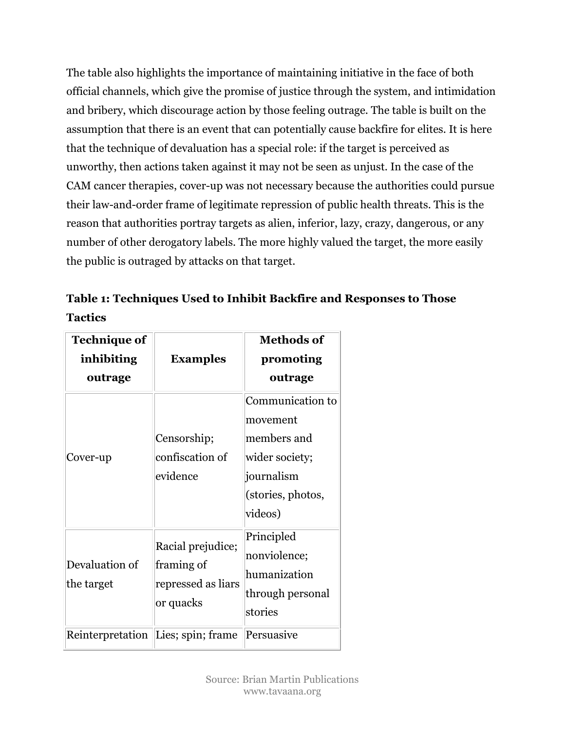The table also highlights the importance of maintaining initiative in the face of both official channels, which give the promise of justice through the system, and intimidation and bribery, which discourage action by those feeling outrage. The table is built on the assumption that there is an event that can potentially cause backfire for elites. It is here that the technique of devaluation has a special role: if the target is perceived as unworthy, then actions taken against it may not be seen as unjust. In the case of the CAM cancer therapies, cover-up was not necessary because the authorities could pursue their law-and-order frame of legitimate repression of public health threats. This is the reason that authorities portray targets as alien, inferior, lazy, crazy, dangerous, or any number of other derogatory labels. The more highly valued the target, the more easily the public is outraged by attacks on that target.

Table 1: Techniques Used to Inhibit Backfire and Responses to Those Tactics

| <b>Technique of</b><br>inhibiting<br>outrage | <b>Examples</b>                                                    | <b>Methods of</b><br>promoting<br>outrage                                                                   |
|----------------------------------------------|--------------------------------------------------------------------|-------------------------------------------------------------------------------------------------------------|
| Cover-up                                     | Censorship;<br>confiscation of<br>evidence                         | Communication to<br>movement<br>members and<br>wider society;<br>journalism<br>(stories, photos,<br>videos) |
| Devaluation of<br>the target                 | Racial prejudice;<br>framing of<br>repressed as liars<br>or quacks | Principled<br>nonviolence;<br>humanization<br>through personal<br>stories                                   |
|                                              | Reinterpretation Lies; spin; frame                                 | Persuasive                                                                                                  |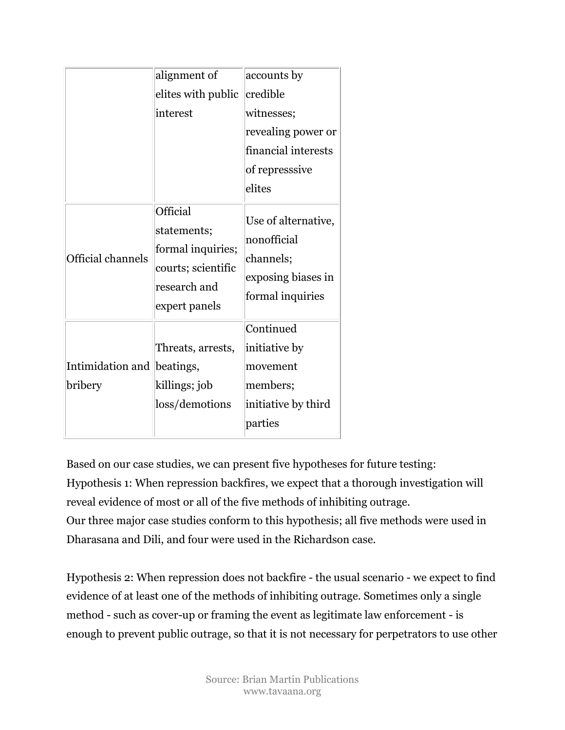|                             | alignment of                                                                                               | accounts by                                                                               |
|-----------------------------|------------------------------------------------------------------------------------------------------------|-------------------------------------------------------------------------------------------|
|                             | elites with public                                                                                         | credible                                                                                  |
|                             | interest                                                                                                   | witnesses;                                                                                |
|                             |                                                                                                            | revealing power or                                                                        |
|                             |                                                                                                            | financial interests                                                                       |
|                             |                                                                                                            | of represssive                                                                            |
|                             |                                                                                                            | elites                                                                                    |
| <b>Official channels</b>    | <b>Official</b><br>statements;<br>formal inquiries;<br>courts; scientific<br>research and<br>expert panels | Use of alternative,<br>nonofficial<br>channels;<br>exposing biases in<br>formal inquiries |
| Intimidation and<br>bribery | Threats, arrests,<br>beatings,<br>killings; job<br>loss/demotions                                          | Continued<br>initiative by<br>movement<br>members;<br>initiative by third                 |
|                             |                                                                                                            | parties                                                                                   |

Based on our case studies, we can present five hypotheses for future testing: Hypothesis 1: When repression backfires, we expect that a thorough investigation will reveal evidence of most or all of the five methods of inhibiting outrage. Our three major case studies conform to this hypothesis; all five methods were used in Dharasana and Dili, and four were used in the Richardson case.

Hypothesis 2: When repression does not backfire - the usual scenario - we expect to find evidence of at least one of the methods of inhibiting outrage. Sometimes only a single method - such as cover-up or framing the event as legitimate law enforcement - is enough to prevent public outrage, so that it is not necessary for perpetrators to use other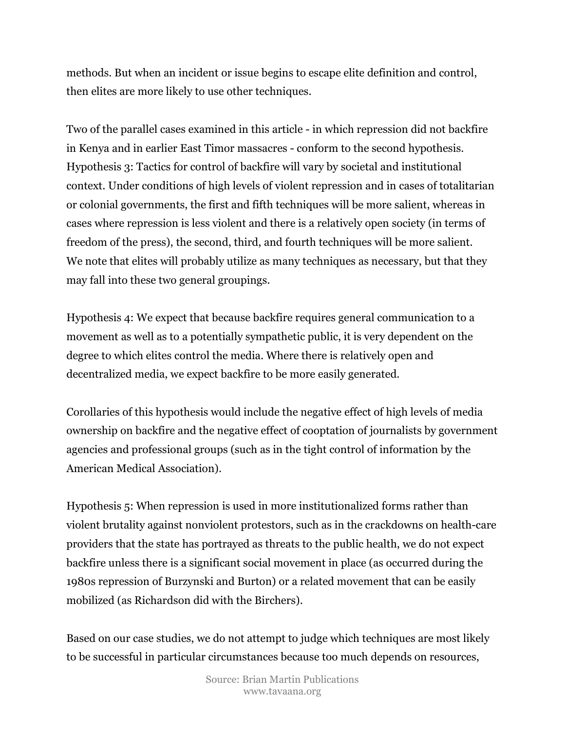methods. But when an incident or issue begins to escape elite definition and control, then elites are more likely to use other techniques.

Two of the parallel cases examined in this article - in which repression did not backfire in Kenya and in earlier East Timor massacres - conform to the second hypothesis. Hypothesis 3: Tactics for control of backfire will vary by societal and institutional context. Under conditions of high levels of violent repression and in cases of totalitarian or colonial governments, the first and fifth techniques will be more salient, whereas in cases where repression is less violent and there is a relatively open society (in terms of freedom of the press), the second, third, and fourth techniques will be more salient. We note that elites will probably utilize as many techniques as necessary, but that they may fall into these two general groupings.

Hypothesis 4: We expect that because backfire requires general communication to a movement as well as to a potentially sympathetic public, it is very dependent on the degree to which elites control the media. Where there is relatively open and decentralized media, we expect backfire to be more easily generated.

Corollaries of this hypothesis would include the negative effect of high levels of media ownership on backfire and the negative effect of cooptation of journalists by government agencies and professional groups (such as in the tight control of information by the American Medical Association).

Hypothesis 5: When repression is used in more institutionalized forms rather than violent brutality against nonviolent protestors, such as in the crackdowns on health-care providers that the state has portrayed as threats to the public health, we do not expect backfire unless there is a significant social movement in place (as occurred during the 1980s repression of Burzynski and Burton) or a related movement that can be easily mobilized (as Richardson did with the Birchers).

Based on our case studies, we do not attempt to judge which techniques are most likely to be successful in particular circumstances because too much depends on resources,

> Source: Brian Martin Publications www.tavaana.org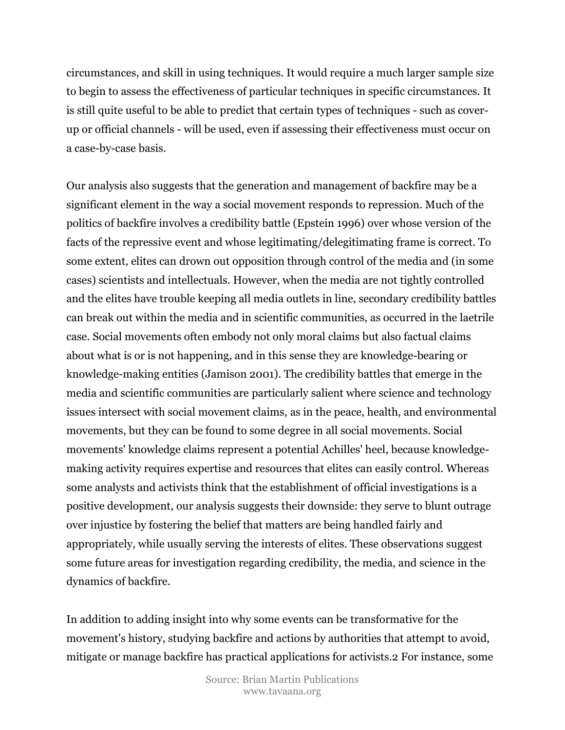circumstances, and skill in using techniques. It would require a much larger sample size to begin to assess the effectiveness of particular techniques in specific circumstances. It is still quite useful to be able to predict that certain types of techniques - such as coverup or official channels - will be used, even if assessing their effectiveness must occur on a case-by-case basis.

Our analysis also suggests that the generation and management of backfire may be a significant element in the way a social movement responds to repression. Much of the politics of backfire involves a credibility battle (Epstein 1996) over whose version of the facts of the repressive event and whose legitimating/delegitimating frame is correct. To some extent, elites can drown out opposition through control of the media and (in some cases) scientists and intellectuals. However, when the media are not tightly controlled and the elites have trouble keeping all media outlets in line, secondary credibility battles can break out within the media and in scientific communities, as occurred in the laetrile case. Social movements often embody not only moral claims but also factual claims about what is or is not happening, and in this sense they are knowledge-bearing or knowledge-making entities (Jamison 2001). The credibility battles that emerge in the media and scientific communities are particularly salient where science and technology issues intersect with social movement claims, as in the peace, health, and environmental movements, but they can be found to some degree in all social movements. Social movements' knowledge claims represent a potential Achilles' heel, because knowledgemaking activity requires expertise and resources that elites can easily control. Whereas some analysts and activists think that the establishment of official investigations is a positive development, our analysis suggests their downside: they serve to blunt outrage over injustice by fostering the belief that matters are being handled fairly and appropriately, while usually serving the interests of elites. These observations suggest some future areas for investigation regarding credibility, the media, and science in the dynamics of backfire.

In addition to adding insight into why some events can be transformative for the movement's history, studying backfire and actions by authorities that attempt to avoid, mitigate or manage backfire has practical applications for activists.2 For instance, some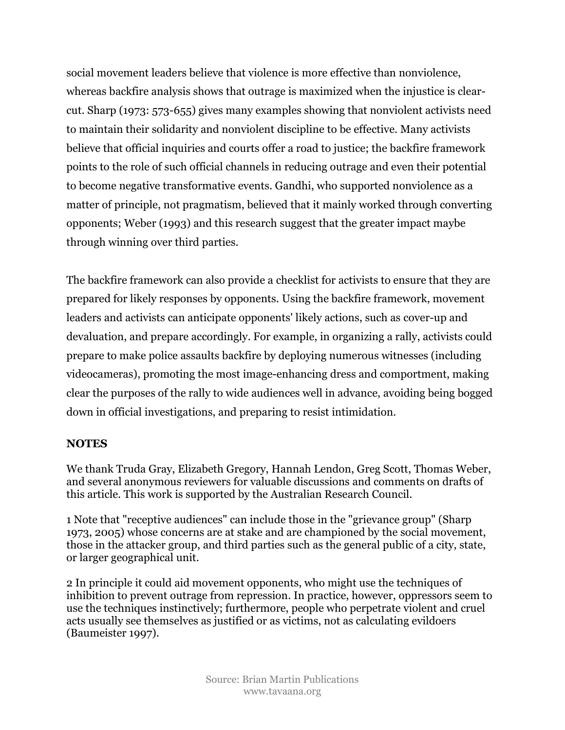social movement leaders believe that violence is more effective than nonviolence, whereas backfire analysis shows that outrage is maximized when the injustice is clearcut. Sharp (1973: 573-655) gives many examples showing that nonviolent activists need to maintain their solidarity and nonviolent discipline to be effective. Many activists believe that official inquiries and courts offer a road to justice; the backfire framework points to the role of such official channels in reducing outrage and even their potential to become negative transformative events. Gandhi, who supported nonviolence as a matter of principle, not pragmatism, believed that it mainly worked through converting opponents; Weber (1993) and this research suggest that the greater impact maybe through winning over third parties.

The backfire framework can also provide a checklist for activists to ensure that they are prepared for likely responses by opponents. Using the backfire framework, movement leaders and activists can anticipate opponents' likely actions, such as cover-up and devaluation, and prepare accordingly. For example, in organizing a rally, activists could prepare to make police assaults backfire by deploying numerous witnesses (including videocameras), promoting the most image-enhancing dress and comportment, making clear the purposes of the rally to wide audiences well in advance, avoiding being bogged down in official investigations, and preparing to resist intimidation.

#### **NOTES**

We thank Truda Gray, Elizabeth Gregory, Hannah Lendon, Greg Scott, Thomas Weber, and several anonymous reviewers for valuable discussions and comments on drafts of this article. This work is supported by the Australian Research Council.

1 Note that "receptive audiences" can include those in the "grievance group" (Sharp 1973, 2005) whose concerns are at stake and are championed by the social movement, those in the attacker group, and third parties such as the general public of a city, state, or larger geographical unit.

2 In principle it could aid movement opponents, who might use the techniques of inhibition to prevent outrage from repression. In practice, however, oppressors seem to use the techniques instinctively; furthermore, people who perpetrate violent and cruel acts usually see themselves as justified or as victims, not as calculating evildoers (Baumeister 1997).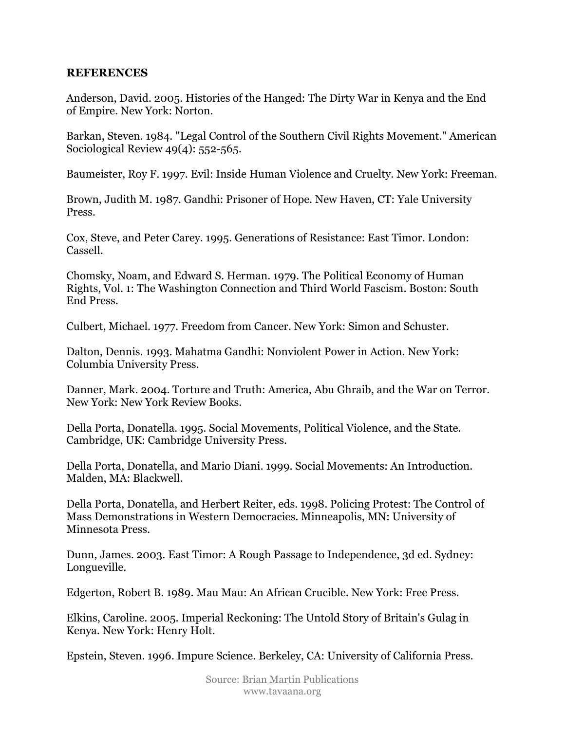#### REFERENCES

Anderson, David. 2005. Histories of the Hanged: The Dirty War in Kenya and the End of Empire. New York: Norton.

Barkan, Steven. 1984. "Legal Control of the Southern Civil Rights Movement." American Sociological Review 49(4): 552-565.

Baumeister, Roy F. 1997. Evil: Inside Human Violence and Cruelty. New York: Freeman.

Brown, Judith M. 1987. Gandhi: Prisoner of Hope. New Haven, CT: Yale University Press.

Cox, Steve, and Peter Carey. 1995. Generations of Resistance: East Timor. London: Cassell.

Chomsky, Noam, and Edward S. Herman. 1979. The Political Economy of Human Rights, Vol. 1: The Washington Connection and Third World Fascism. Boston: South End Press.

Culbert, Michael. 1977. Freedom from Cancer. New York: Simon and Schuster.

Dalton, Dennis. 1993. Mahatma Gandhi: Nonviolent Power in Action. New York: Columbia University Press.

Danner, Mark. 2004. Torture and Truth: America, Abu Ghraib, and the War on Terror. New York: New York Review Books.

Della Porta, Donatella. 1995. Social Movements, Political Violence, and the State. Cambridge, UK: Cambridge University Press.

Della Porta, Donatella, and Mario Diani. 1999. Social Movements: An Introduction. Malden, MA: Blackwell.

Della Porta, Donatella, and Herbert Reiter, eds. 1998. Policing Protest: The Control of Mass Demonstrations in Western Democracies. Minneapolis, MN: University of Minnesota Press.

Dunn, James. 2003. East Timor: A Rough Passage to Independence, 3d ed. Sydney: Longueville.

Edgerton, Robert B. 1989. Mau Mau: An African Crucible. New York: Free Press.

Elkins, Caroline. 2005. Imperial Reckoning: The Untold Story of Britain's Gulag in Kenya. New York: Henry Holt.

Epstein, Steven. 1996. Impure Science. Berkeley, CA: University of California Press.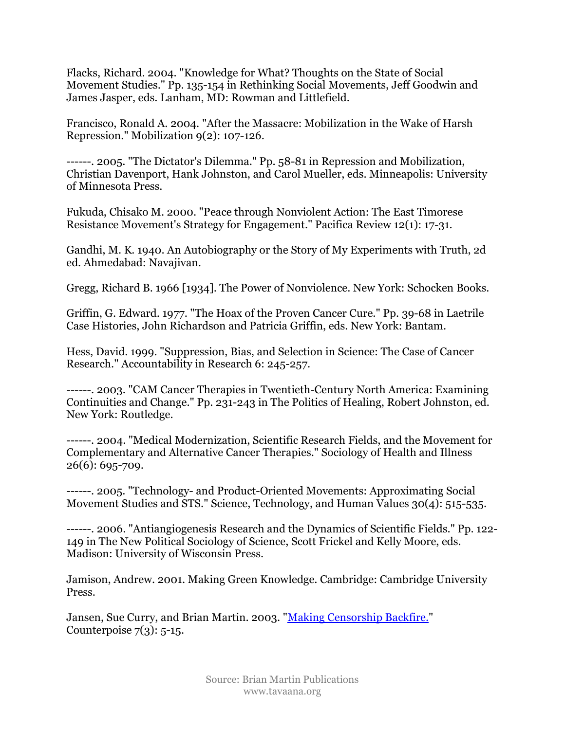Flacks, Richard. 2004. "Knowledge for What? Thoughts on the State of Social Movement Studies." Pp. 135-154 in Rethinking Social Movements, Jeff Goodwin and James Jasper, eds. Lanham, MD: Rowman and Littlefield.

Francisco, Ronald A. 2004. "After the Massacre: Mobilization in the Wake of Harsh Repression." Mobilization 9(2): 107-126.

------. 2005. "The Dictator's Dilemma." Pp. 58-81 in Repression and Mobilization, Christian Davenport, Hank Johnston, and Carol Mueller, eds. Minneapolis: University of Minnesota Press.

Fukuda, Chisako M. 2000. "Peace through Nonviolent Action: The East Timorese Resistance Movement's Strategy for Engagement." Pacifica Review 12(1): 17-31.

Gandhi, M. K. 1940. An Autobiography or the Story of My Experiments with Truth, 2d ed. Ahmedabad: Navajivan.

Gregg, Richard B. 1966 [1934]. The Power of Nonviolence. New York: Schocken Books.

Griffin, G. Edward. 1977. "The Hoax of the Proven Cancer Cure." Pp. 39-68 in Laetrile Case Histories, John Richardson and Patricia Griffin, eds. New York: Bantam.

Hess, David. 1999. "Suppression, Bias, and Selection in Science: The Case of Cancer Research." Accountability in Research 6: 245-257.

------. 2003. "CAM Cancer Therapies in Twentieth-Century North America: Examining Continuities and Change." Pp. 231-243 in The Politics of Healing, Robert Johnston, ed. New York: Routledge.

------. 2004. "Medical Modernization, Scientific Research Fields, and the Movement for Complementary and Alternative Cancer Therapies." Sociology of Health and Illness 26(6): 695-709.

------. 2005. "Technology- and Product-Oriented Movements: Approximating Social Movement Studies and STS." Science, Technology, and Human Values 30(4): 515-535.

------. 2006. "Antiangiogenesis Research and the Dynamics of Scientific Fields." Pp. 122- 149 in The New Political Sociology of Science, Scott Frickel and Kelly Moore, eds. Madison: University of Wisconsin Press.

Jamison, Andrew. 2001. Making Green Knowledge. Cambridge: Cambridge University Press.

Jansen, Sue Curry, and Brian Martin. 2003. "Making Censorship Backfire." Counterpoise  $7(3)$ : 5-15.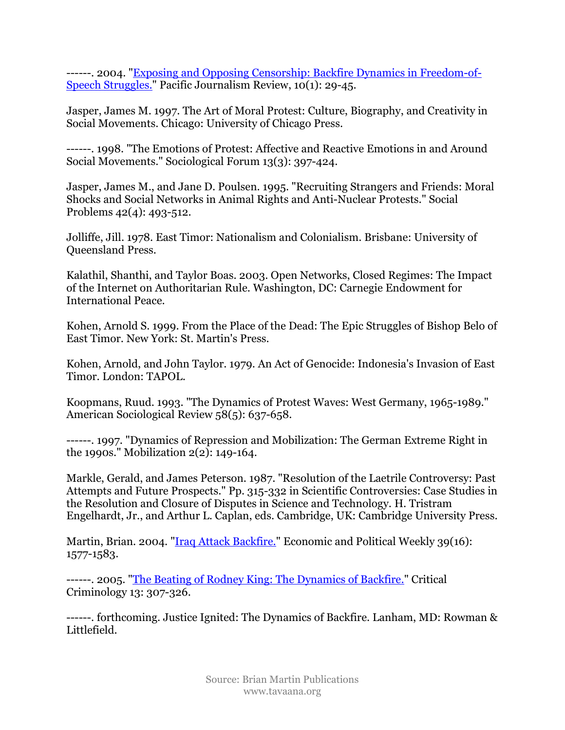------. 2004. "Exposing and Opposing Censorship: Backfire Dynamics in Freedom-of-Speech Struggles." Pacific Journalism Review, 10(1): 29-45.

Jasper, James M. 1997. The Art of Moral Protest: Culture, Biography, and Creativity in Social Movements. Chicago: University of Chicago Press.

------. 1998. "The Emotions of Protest: Affective and Reactive Emotions in and Around Social Movements." Sociological Forum 13(3): 397-424.

Jasper, James M., and Jane D. Poulsen. 1995. "Recruiting Strangers and Friends: Moral Shocks and Social Networks in Animal Rights and Anti-Nuclear Protests." Social Problems 42(4): 493-512.

Jolliffe, Jill. 1978. East Timor: Nationalism and Colonialism. Brisbane: University of Queensland Press.

Kalathil, Shanthi, and Taylor Boas. 2003. Open Networks, Closed Regimes: The Impact of the Internet on Authoritarian Rule. Washington, DC: Carnegie Endowment for International Peace.

Kohen, Arnold S. 1999. From the Place of the Dead: The Epic Struggles of Bishop Belo of East Timor. New York: St. Martin's Press.

Kohen, Arnold, and John Taylor. 1979. An Act of Genocide: Indonesia's Invasion of East Timor. London: TAPOL.

Koopmans, Ruud. 1993. "The Dynamics of Protest Waves: West Germany, 1965-1989." American Sociological Review 58(5): 637-658.

------. 1997. "Dynamics of Repression and Mobilization: The German Extreme Right in the 1990s." Mobilization 2(2): 149-164.

Markle, Gerald, and James Peterson. 1987. "Resolution of the Laetrile Controversy: Past Attempts and Future Prospects." Pp. 315-332 in Scientific Controversies: Case Studies in the Resolution and Closure of Disputes in Science and Technology. H. Tristram Engelhardt, Jr., and Arthur L. Caplan, eds. Cambridge, UK: Cambridge University Press.

Martin, Brian. 2004. "<u>Iraq Attack Backfire.</u>" Economic and Political Weekly 39(16): 1577-1583.

------. 2005. "The Beating of Rodney King: The Dynamics of Backfire." Critical Criminology 13: 307-326.

------. forthcoming. Justice Ignited: The Dynamics of Backfire. Lanham, MD: Rowman & Littlefield.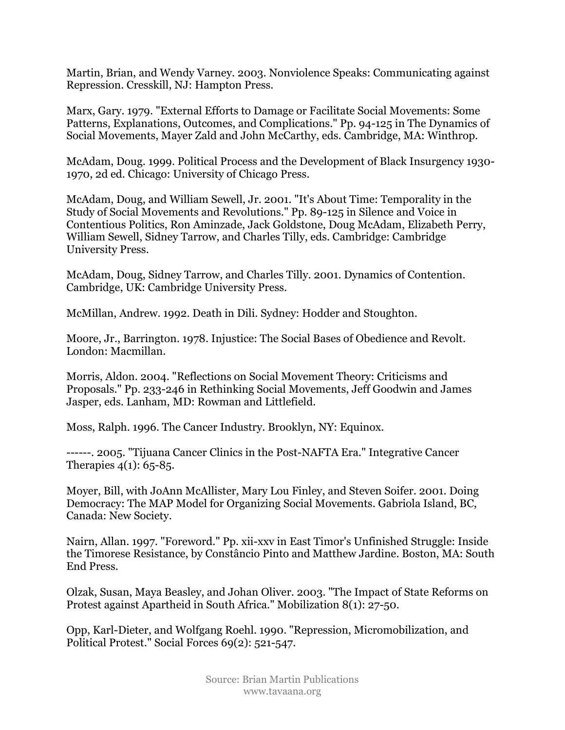Martin, Brian, and Wendy Varney. 2003. Nonviolence Speaks: Communicating against Repression. Cresskill, NJ: Hampton Press.

Marx, Gary. 1979. "External Efforts to Damage or Facilitate Social Movements: Some Patterns, Explanations, Outcomes, and Complications." Pp. 94-125 in The Dynamics of Social Movements, Mayer Zald and John McCarthy, eds. Cambridge, MA: Winthrop.

McAdam, Doug. 1999. Political Process and the Development of Black Insurgency 1930- 1970, 2d ed. Chicago: University of Chicago Press.

McAdam, Doug, and William Sewell, Jr. 2001. "It's About Time: Temporality in the Study of Social Movements and Revolutions." Pp. 89-125 in Silence and Voice in Contentious Politics, Ron Aminzade, Jack Goldstone, Doug McAdam, Elizabeth Perry, William Sewell, Sidney Tarrow, and Charles Tilly, eds. Cambridge: Cambridge University Press.

McAdam, Doug, Sidney Tarrow, and Charles Tilly. 2001. Dynamics of Contention. Cambridge, UK: Cambridge University Press.

McMillan, Andrew. 1992. Death in Dili. Sydney: Hodder and Stoughton.

Moore, Jr., Barrington. 1978. Injustice: The Social Bases of Obedience and Revolt. London: Macmillan.

Morris, Aldon. 2004. "Reflections on Social Movement Theory: Criticisms and Proposals." Pp. 233-246 in Rethinking Social Movements, Jeff Goodwin and James Jasper, eds. Lanham, MD: Rowman and Littlefield.

Moss, Ralph. 1996. The Cancer Industry. Brooklyn, NY: Equinox.

------. 2005. "Tijuana Cancer Clinics in the Post-NAFTA Era." Integrative Cancer Therapies  $4(1)$ : 65-85.

Moyer, Bill, with JoAnn McAllister, Mary Lou Finley, and Steven Soifer. 2001. Doing Democracy: The MAP Model for Organizing Social Movements. Gabriola Island, BC, Canada: New Society.

Nairn, Allan. 1997. "Foreword." Pp. xii-xxv in East Timor's Unfinished Struggle: Inside the Timorese Resistance, by Constâncio Pinto and Matthew Jardine. Boston, MA: South End Press.

Olzak, Susan, Maya Beasley, and Johan Oliver. 2003. "The Impact of State Reforms on Protest against Apartheid in South Africa." Mobilization 8(1): 27-50.

Opp, Karl-Dieter, and Wolfgang Roehl. 1990. "Repression, Micromobilization, and Political Protest." Social Forces 69(2): 521-547.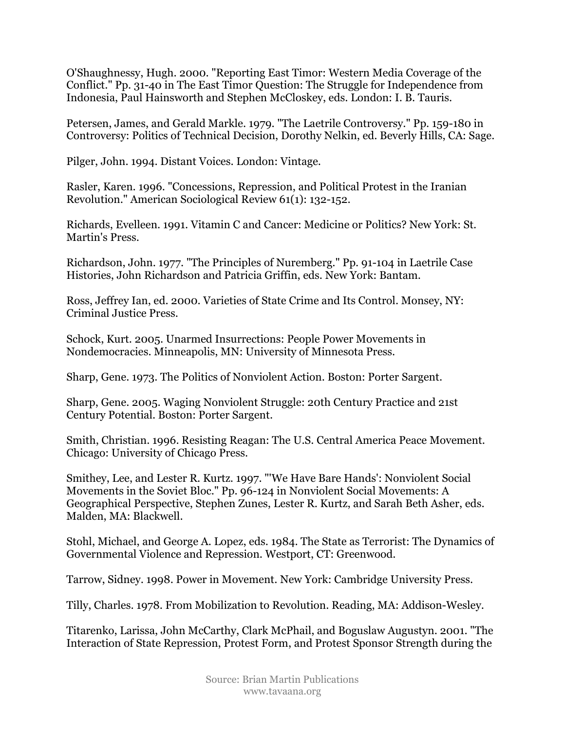O'Shaughnessy, Hugh. 2000. "Reporting East Timor: Western Media Coverage of the Conflict." Pp. 31-40 in The East Timor Question: The Struggle for Independence from Indonesia, Paul Hainsworth and Stephen McCloskey, eds. London: I. B. Tauris.

Petersen, James, and Gerald Markle. 1979. "The Laetrile Controversy." Pp. 159-180 in Controversy: Politics of Technical Decision, Dorothy Nelkin, ed. Beverly Hills, CA: Sage.

Pilger, John. 1994. Distant Voices. London: Vintage.

Rasler, Karen. 1996. "Concessions, Repression, and Political Protest in the Iranian Revolution." American Sociological Review 61(1): 132-152.

Richards, Evelleen. 1991. Vitamin C and Cancer: Medicine or Politics? New York: St. Martin's Press.

Richardson, John. 1977. "The Principles of Nuremberg." Pp. 91-104 in Laetrile Case Histories, John Richardson and Patricia Griffin, eds. New York: Bantam.

Ross, Jeffrey Ian, ed. 2000. Varieties of State Crime and Its Control. Monsey, NY: Criminal Justice Press.

Schock, Kurt. 2005. Unarmed Insurrections: People Power Movements in Nondemocracies. Minneapolis, MN: University of Minnesota Press.

Sharp, Gene. 1973. The Politics of Nonviolent Action. Boston: Porter Sargent.

Sharp, Gene. 2005. Waging Nonviolent Struggle: 20th Century Practice and 21st Century Potential. Boston: Porter Sargent.

Smith, Christian. 1996. Resisting Reagan: The U.S. Central America Peace Movement. Chicago: University of Chicago Press.

Smithey, Lee, and Lester R. Kurtz. 1997. "'We Have Bare Hands': Nonviolent Social Movements in the Soviet Bloc." Pp. 96-124 in Nonviolent Social Movements: A Geographical Perspective, Stephen Zunes, Lester R. Kurtz, and Sarah Beth Asher, eds. Malden, MA: Blackwell.

Stohl, Michael, and George A. Lopez, eds. 1984. The State as Terrorist: The Dynamics of Governmental Violence and Repression. Westport, CT: Greenwood.

Tarrow, Sidney. 1998. Power in Movement. New York: Cambridge University Press.

Tilly, Charles. 1978. From Mobilization to Revolution. Reading, MA: Addison-Wesley.

Titarenko, Larissa, John McCarthy, Clark McPhail, and Boguslaw Augustyn. 2001. "The Interaction of State Repression, Protest Form, and Protest Sponsor Strength during the